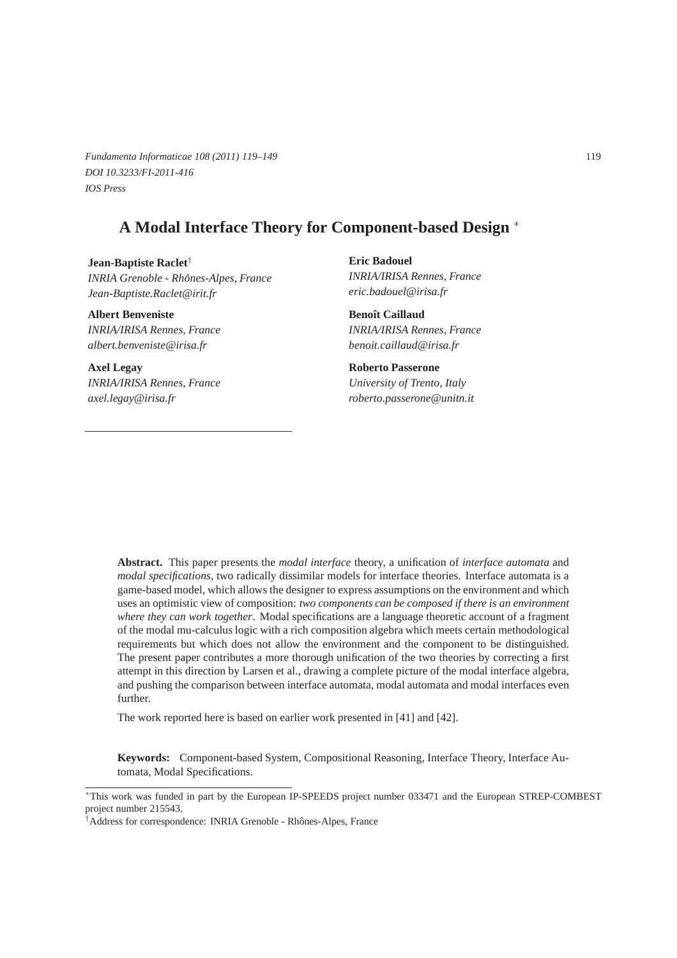*Fundamenta Informaticae 108 (2011) 119–149* 119 *DOI 10.3233/FI-2011-416 IOS Press*

# **A Modal Interface Theory for Component-based Design** <sup>∗</sup>

**Jean-Baptiste Raclet**† *INRIA Grenoble - Rhones-Alpes, France ˆ Jean-Baptiste.Raclet@irit.fr*

**Albert Benveniste** *INRIA/IRISA Rennes, France albert.benveniste@irisa.fr*

**Axel Legay** *INRIA/IRISA Rennes, France axel.legay@irisa.fr*

**Eric Badouel** *INRIA/IRISA Rennes, France eric.badouel@irisa.fr*

**Benoît Caillaud** *INRIA/IRISA Rennes, France benoit.caillaud@irisa.fr*

**Roberto Passerone** *University of Trento, Italy roberto.passerone@unitn.it*

**Abstract.** This paper presents the *modal interface* theory, a unification of *interface automata* and *modal specifications*, two radically dissimilar models for interface theories. Interface automata is a game-based model, which allows the designer to express assumptions on the environment and which uses an optimistic view of composition: *two components can be composed if there is an environment where they can work together*. Modal specifications are a language theoretic account of a fragment of the modal mu-calculus logic with a rich composition algebra which meets certain methodological requirements but which does not allow the environment and the component to be distinguished. The present paper contributes a more thorough unification of the two theories by correcting a first attempt in this direction by Larsen et al., drawing a complete picture of the modal interface algebra, and pushing the comparison between interface automata, modal automata and modal interfaces even further.

The work reported here is based on earlier work presented in [41] and [42].

**Keywords:** Component-based System, Compositional Reasoning, Interface Theory, Interface Automata, Modal Specifications.

<sup>∗</sup>This work was funded in part by the European IP-SPEEDS project number 033471 and the European STREP-COMBEST project number 215543.

<sup>&</sup>lt;sup>†</sup>Address for correspondence: INRIA Grenoble - Rhônes-Alpes, France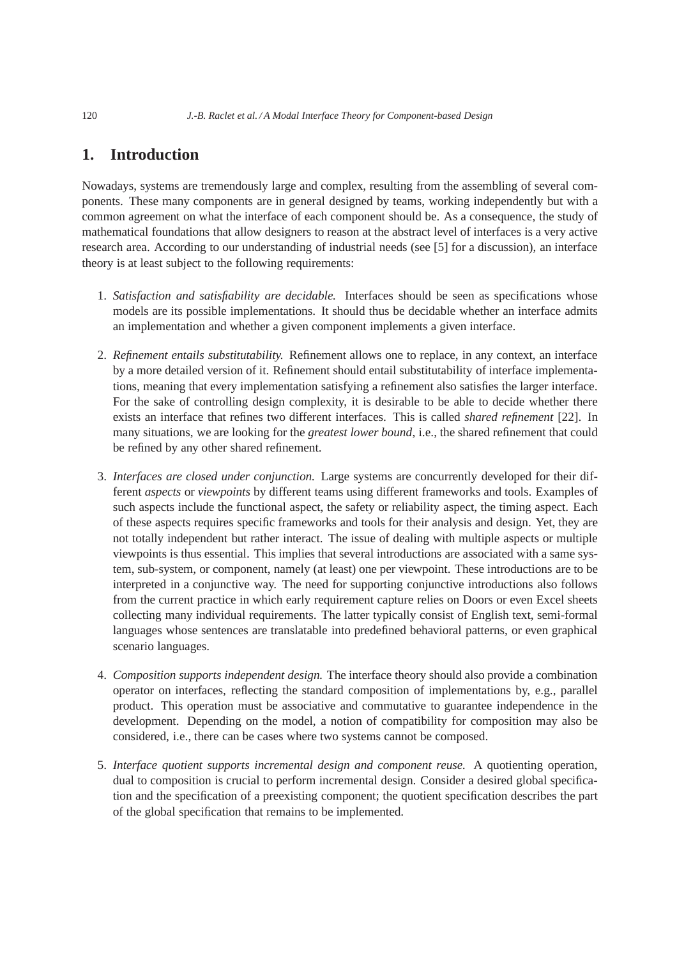# **1. Introduction**

Nowadays, systems are tremendously large and complex, resulting from the assembling of several components. These many components are in general designed by teams, working independently but with a common agreement on what the interface of each component should be. As a consequence, the study of mathematical foundations that allow designers to reason at the abstract level of interfaces is a very active research area. According to our understanding of industrial needs (see [5] for a discussion), an interface theory is at least subject to the following requirements:

- 1. *Satisfaction and satisfiability are decidable.* Interfaces should be seen as specifications whose models are its possible implementations. It should thus be decidable whether an interface admits an implementation and whether a given component implements a given interface.
- 2. *Refinement entails substitutability.* Refinement allows one to replace, in any context, an interface by a more detailed version of it. Refinement should entail substitutability of interface implementations, meaning that every implementation satisfying a refinement also satisfies the larger interface. For the sake of controlling design complexity, it is desirable to be able to decide whether there exists an interface that refines two different interfaces. This is called *shared refinement* [22]. In many situations, we are looking for the *greatest lower bound*, i.e., the shared refinement that could be refined by any other shared refinement.
- 3. *Interfaces are closed under conjunction.* Large systems are concurrently developed for their different *aspects* or *viewpoints* by different teams using different frameworks and tools. Examples of such aspects include the functional aspect, the safety or reliability aspect, the timing aspect. Each of these aspects requires specific frameworks and tools for their analysis and design. Yet, they are not totally independent but rather interact. The issue of dealing with multiple aspects or multiple viewpoints is thus essential. This implies that several introductions are associated with a same system, sub-system, or component, namely (at least) one per viewpoint. These introductions are to be interpreted in a conjunctive way. The need for supporting conjunctive introductions also follows from the current practice in which early requirement capture relies on Doors or even Excel sheets collecting many individual requirements. The latter typically consist of English text, semi-formal languages whose sentences are translatable into predefined behavioral patterns, or even graphical scenario languages.
- 4. *Composition supports independent design.* The interface theory should also provide a combination operator on interfaces, reflecting the standard composition of implementations by, e.g., parallel product. This operation must be associative and commutative to guarantee independence in the development. Depending on the model, a notion of compatibility for composition may also be considered, i.e., there can be cases where two systems cannot be composed.
- 5. *Interface quotient supports incremental design and component reuse.* A quotienting operation, dual to composition is crucial to perform incremental design. Consider a desired global specification and the specification of a preexisting component; the quotient specification describes the part of the global specification that remains to be implemented.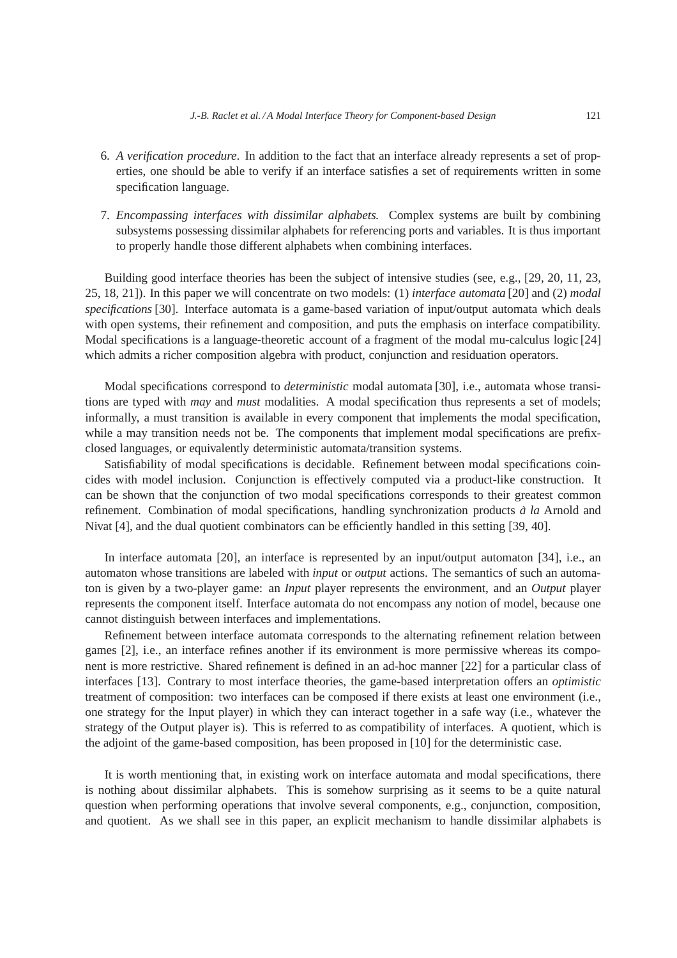- 6. *A verification procedure*. In addition to the fact that an interface already represents a set of properties, one should be able to verify if an interface satisfies a set of requirements written in some specification language.
- 7. *Encompassing interfaces with dissimilar alphabets.* Complex systems are built by combining subsystems possessing dissimilar alphabets for referencing ports and variables. It is thus important to properly handle those different alphabets when combining interfaces.

Building good interface theories has been the subject of intensive studies (see, e.g., [29, 20, 11, 23, 25, 18, 21]). In this paper we will concentrate on two models: (1) *interface automata* [20] and (2) *modal specifications* [30]. Interface automata is a game-based variation of input/output automata which deals with open systems, their refinement and composition, and puts the emphasis on interface compatibility. Modal specifications is a language-theoretic account of a fragment of the modal mu-calculus logic [24] which admits a richer composition algebra with product, conjunction and residuation operators.

Modal specifications correspond to *deterministic* modal automata [30], i.e., automata whose transitions are typed with *may* and *must* modalities. A modal specification thus represents a set of models; informally, a must transition is available in every component that implements the modal specification, while a may transition needs not be. The components that implement modal specifications are prefixclosed languages, or equivalently deterministic automata/transition systems.

Satisfiability of modal specifications is decidable. Refinement between modal specifications coincides with model inclusion. Conjunction is effectively computed via a product-like construction. It can be shown that the conjunction of two modal specifications corresponds to their greatest common refinement. Combination of modal specifications, handling synchronization products *a la `* Arnold and Nivat [4], and the dual quotient combinators can be efficiently handled in this setting [39, 40].

In interface automata [20], an interface is represented by an input/output automaton [34], i.e., an automaton whose transitions are labeled with *input* or *output* actions. The semantics of such an automaton is given by a two-player game: an *Input* player represents the environment, and an *Output* player represents the component itself. Interface automata do not encompass any notion of model, because one cannot distinguish between interfaces and implementations.

Refinement between interface automata corresponds to the alternating refinement relation between games [2], i.e., an interface refines another if its environment is more permissive whereas its component is more restrictive. Shared refinement is defined in an ad-hoc manner [22] for a particular class of interfaces [13]. Contrary to most interface theories, the game-based interpretation offers an *optimistic* treatment of composition: two interfaces can be composed if there exists at least one environment (i.e., one strategy for the Input player) in which they can interact together in a safe way (i.e., whatever the strategy of the Output player is). This is referred to as compatibility of interfaces. A quotient, which is the adjoint of the game-based composition, has been proposed in [10] for the deterministic case.

It is worth mentioning that, in existing work on interface automata and modal specifications, there is nothing about dissimilar alphabets. This is somehow surprising as it seems to be a quite natural question when performing operations that involve several components, e.g., conjunction, composition, and quotient. As we shall see in this paper, an explicit mechanism to handle dissimilar alphabets is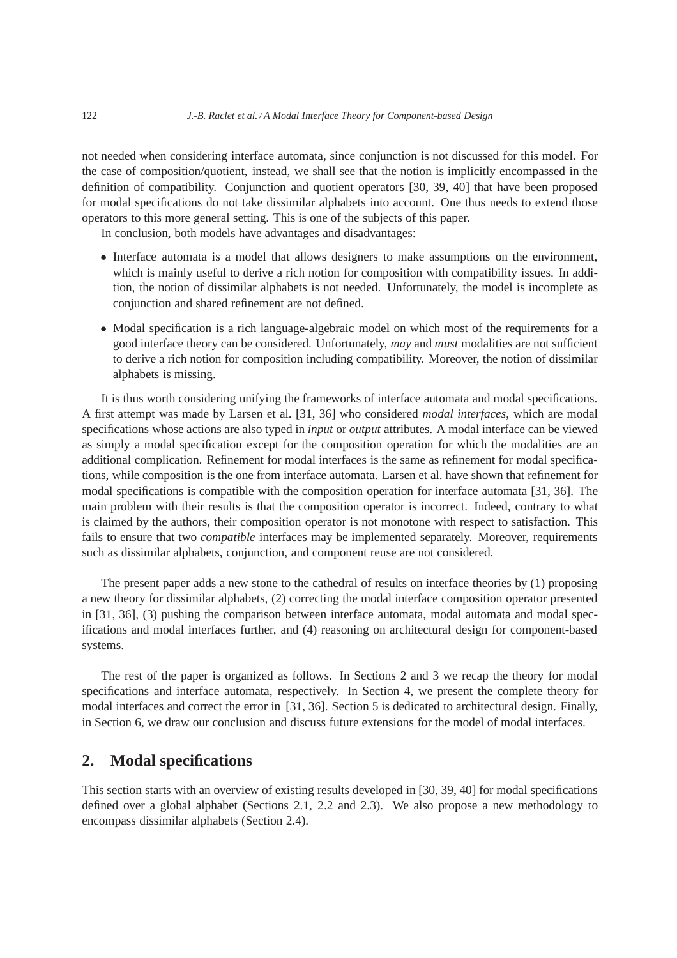not needed when considering interface automata, since conjunction is not discussed for this model. For the case of composition/quotient, instead, we shall see that the notion is implicitly encompassed in the definition of compatibility. Conjunction and quotient operators [30, 39, 40] that have been proposed for modal specifications do not take dissimilar alphabets into account. One thus needs to extend those operators to this more general setting. This is one of the subjects of this paper.

In conclusion, both models have advantages and disadvantages:

- Interface automata is a model that allows designers to make assumptions on the environment, which is mainly useful to derive a rich notion for composition with compatibility issues. In addition, the notion of dissimilar alphabets is not needed. Unfortunately, the model is incomplete as conjunction and shared refinement are not defined.
- Modal specification is a rich language-algebraic model on which most of the requirements for a good interface theory can be considered. Unfortunately, *may* and *must* modalities are not sufficient to derive a rich notion for composition including compatibility. Moreover, the notion of dissimilar alphabets is missing.

It is thus worth considering unifying the frameworks of interface automata and modal specifications. A first attempt was made by Larsen et al. [31, 36] who considered *modal interfaces*, which are modal specifications whose actions are also typed in *input* or *output* attributes. A modal interface can be viewed as simply a modal specification except for the composition operation for which the modalities are an additional complication. Refinement for modal interfaces is the same as refinement for modal specifications, while composition is the one from interface automata. Larsen et al. have shown that refinement for modal specifications is compatible with the composition operation for interface automata [31, 36]. The main problem with their results is that the composition operator is incorrect. Indeed, contrary to what is claimed by the authors, their composition operator is not monotone with respect to satisfaction. This fails to ensure that two *compatible* interfaces may be implemented separately. Moreover, requirements such as dissimilar alphabets, conjunction, and component reuse are not considered.

The present paper adds a new stone to the cathedral of results on interface theories by (1) proposing a new theory for dissimilar alphabets, (2) correcting the modal interface composition operator presented in [31, 36], (3) pushing the comparison between interface automata, modal automata and modal specifications and modal interfaces further, and (4) reasoning on architectural design for component-based systems.

The rest of the paper is organized as follows. In Sections 2 and 3 we recap the theory for modal specifications and interface automata, respectively. In Section 4, we present the complete theory for modal interfaces and correct the error in [31, 36]. Section 5 is dedicated to architectural design. Finally, in Section 6, we draw our conclusion and discuss future extensions for the model of modal interfaces.

# **2. Modal specifications**

This section starts with an overview of existing results developed in [30, 39, 40] for modal specifications defined over a global alphabet (Sections 2.1, 2.2 and 2.3). We also propose a new methodology to encompass dissimilar alphabets (Section 2.4).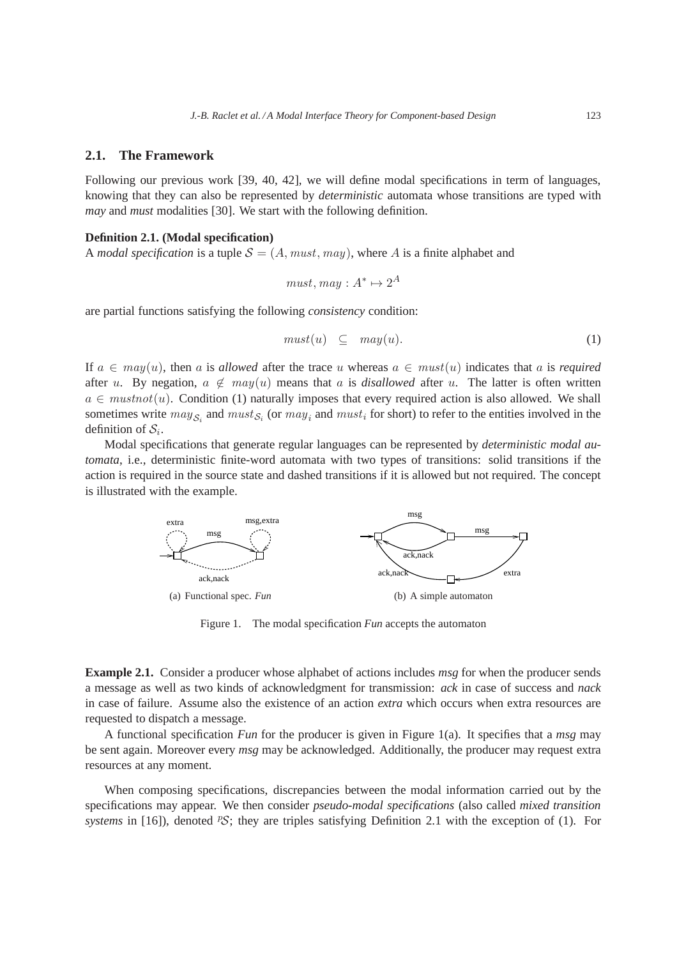## **2.1. The Framework**

Following our previous work [39, 40, 42], we will define modal specifications in term of languages, knowing that they can also be represented by *deterministic* automata whose transitions are typed with *may* and *must* modalities [30]. We start with the following definition.

## **Definition 2.1. (Modal specification)**

A *modal specification* is a tuple  $S = (A, must, may)$ , where A is a finite alphabet and

$$
must, may : A^* \mapsto 2^A
$$

are partial functions satisfying the following *consistency* condition:

$$
must(u) \subseteq may(u). \tag{1}
$$

If  $a \in may(u)$ , then a is allowed after the trace u whereas  $a \in must(u)$  indicates that a is *required* after u. By negation,  $a \notin may(u)$  means that a is *disallowed* after u. The latter is often written  $a \in mustnot(u)$ . Condition (1) naturally imposes that every required action is also allowed. We shall sometimes write  $may_{S_i}$  and  $must_{S_i}$  (or  $may_i$  and  $must_i$  for short) to refer to the entities involved in the definition of  $S_i$ .

Modal specifications that generate regular languages can be represented by *deterministic modal automata*, i.e., deterministic finite-word automata with two types of transitions: solid transitions if the action is required in the source state and dashed transitions if it is allowed but not required. The concept is illustrated with the example.



Figure 1. The modal specification *Fun* accepts the automaton

**Example 2.1.** Consider a producer whose alphabet of actions includes *msg* for when the producer sends a message as well as two kinds of acknowledgment for transmission: *ack* in case of success and *nack* in case of failure. Assume also the existence of an action *extra* which occurs when extra resources are requested to dispatch a message.

A functional specification *Fun* for the producer is given in Figure 1(a). It specifies that a *msg* may be sent again. Moreover every *msg* may be acknowledged. Additionally, the producer may request extra resources at any moment.

When composing specifications, discrepancies between the modal information carried out by the specifications may appear. We then consider *pseudo-modal specifications* (also called *mixed transition systems* in [16]), denoted <sup>*PS*</sup>; they are triples satisfying Definition 2.1 with the exception of (1). For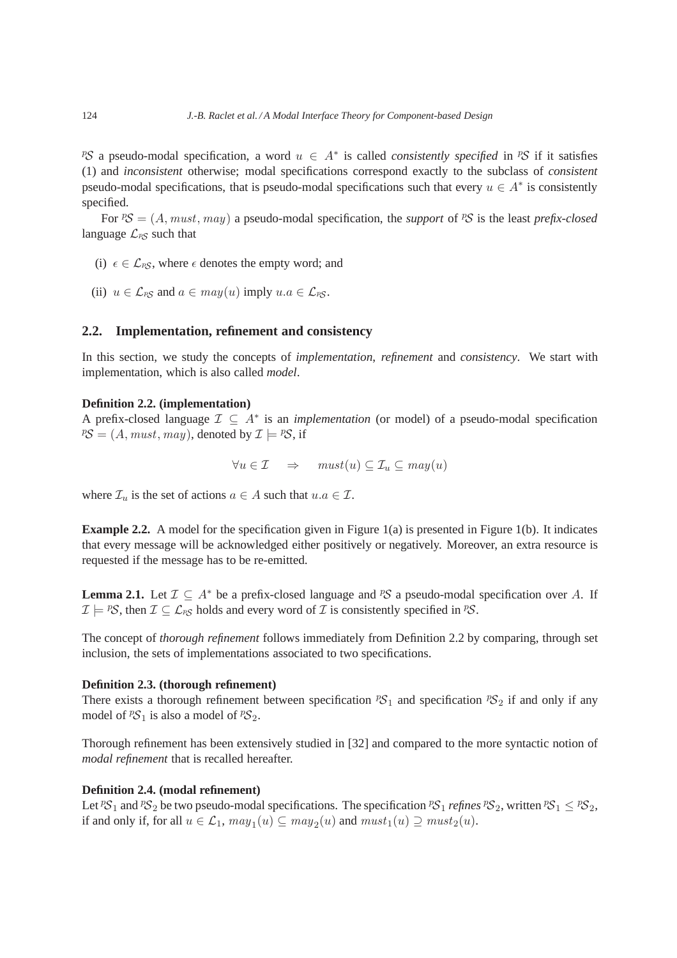pseudo-modal specification, a word  $u \in A^*$  is called *consistently specified* in ps if it satisfies (1) and *inconsistent* otherwise; modal specifications correspond exactly to the subclass of *consistent* pseudo-modal specifications, that is pseudo-modal specifications such that every  $u \in A^*$  is consistently specified.

For  ${}^pS = (A, must, may)$  a pseudo-modal specification, the *support* of  ${}^pS$  is the least *prefix-closed* language  $\mathcal{L}_{PS}$  such that

- (i)  $\epsilon \in \mathcal{L}_{PS}$ , where  $\epsilon$  denotes the empty word; and
- (ii)  $u \in \mathcal{L}_{PS}$  and  $a \in may(u)$  imply  $u.a \in \mathcal{L}_{PS}$ .

## **2.2. Implementation, refinement and consistency**

In this section, we study the concepts of *implementation*, *refinement* and *consistency*. We start with implementation, which is also called *model*.

## **Definition 2.2. (implementation)**

A prefix-closed language  $\mathcal{I} \subseteq A^*$  is an *implementation* (or model) of a pseudo-modal specification  $PS = (A, must, may)$ , denoted by  $\mathcal{I} \models PS$ , if

$$
\forall u \in \mathcal{I} \quad \Rightarrow \quad must(u) \subseteq \mathcal{I}_u \subseteq may(u)
$$

where  $\mathcal{I}_u$  is the set of actions  $a \in A$  such that  $u.a \in \mathcal{I}$ .

**Example 2.2.** A model for the specification given in Figure 1(a) is presented in Figure 1(b). It indicates that every message will be acknowledged either positively or negatively. Moreover, an extra resource is requested if the message has to be re-emitted.

**Lemma 2.1.** Let  $\mathcal{I} \subseteq A^*$  be a prefix-closed language and <sup>p</sup>S a pseudo-modal specification over A. If  $\mathcal{I} \models \text{PS}$ , then  $\mathcal{I} \subseteq \mathcal{L}_{PS}$  holds and every word of  $\mathcal{I}$  is consistently specified in  $\text{PS}$ .

The concept of *thorough refinement* follows immediately from Definition 2.2 by comparing, through set inclusion, the sets of implementations associated to two specifications.

## **Definition 2.3. (thorough refinement)**

There exists a thorough refinement between specification  ${}^pS_1$  and specification  ${}^pS_2$  if and only if any model of  ${}^pS_1$  is also a model of  ${}^pS_2$ .

Thorough refinement has been extensively studied in [32] and compared to the more syntactic notion of *modal refinement* that is recalled hereafter.

## **Definition 2.4. (modal refinement)**

Let  ${}^pS_1$  and  ${}^pS_2$  be two pseudo-modal specifications. The specification  ${}^pS_1$  *refines*  ${}^pS_2$ , written  ${}^pS_1 \leq {}^pS_2$ , if and only if, for all  $u \in \mathcal{L}_1$ ,  $may_1(u) \subseteq may_2(u)$  and  $must_1(u) \supseteq must_2(u)$ .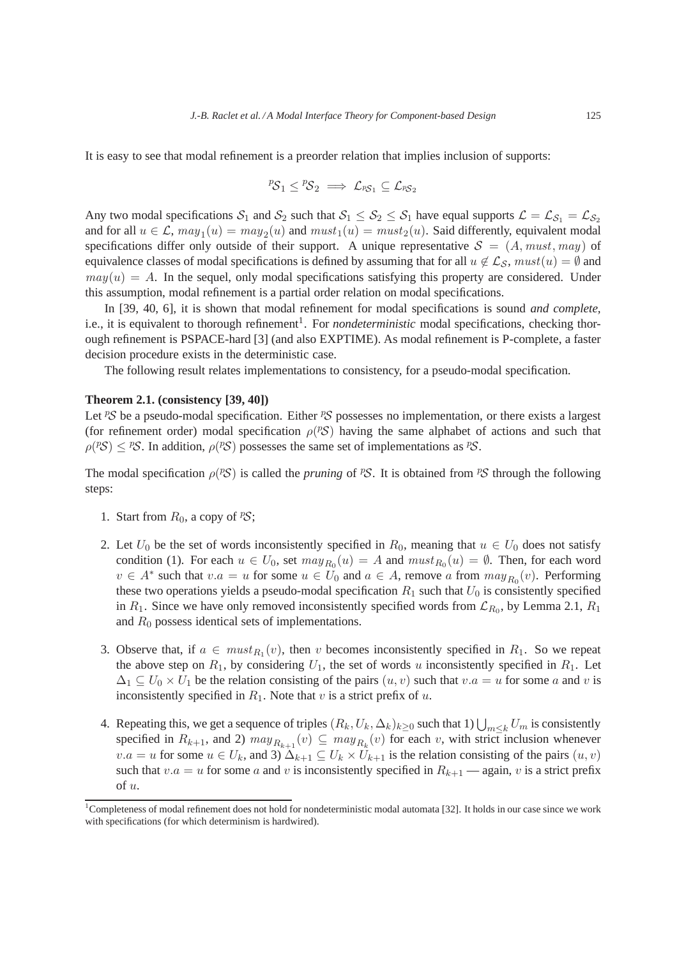It is easy to see that modal refinement is a preorder relation that implies inclusion of supports:

$$
{}^p\!{\mathcal S}_1 \le {}^p\!{\mathcal S}_2 \implies {\mathcal L}_{^p\!{\mathcal S}_1} \subseteq {\mathcal L}_{^p\!{\mathcal S}_2}
$$

Any two modal specifications  $S_1$  and  $S_2$  such that  $S_1 \leq S_2 \leq S_1$  have equal supports  $\mathcal{L} = \mathcal{L}_{S_1} = \mathcal{L}_{S_2}$ and for all  $u \in \mathcal{L}$ ,  $may_1(u) = may_2(u)$  and  $must_1(u) = must_2(u)$ . Said differently, equivalent modal specifications differ only outside of their support. A unique representative  $S = (A, must, may)$  of equivalence classes of modal specifications is defined by assuming that for all  $u \notin \mathcal{L}_{\mathcal{S}}$ ,  $must(u) = \emptyset$  and  $may(u) = A$ . In the sequel, only modal specifications satisfying this property are considered. Under this assumption, modal refinement is a partial order relation on modal specifications.

In [39, 40, 6], it is shown that modal refinement for modal specifications is sound *and complete,* i.e., it is equivalent to thorough refinement<sup>1</sup>. For *nondeterministic* modal specifications, checking thorough refinement is PSPACE-hard [3] (and also EXPTIME). As modal refinement is P-complete, a faster decision procedure exists in the deterministic case.

The following result relates implementations to consistency, for a pseudo-modal specification.

#### **Theorem 2.1. (consistency [39, 40])**

Let  $\mathcal{PS}$  be a pseudo-modal specification. Either  $\mathcal{PS}$  possesses no implementation, or there exists a largest (for refinement order) modal specification  $\rho$ (PS) having the same alphabet of actions and such that  $\rho(P\mathcal{S}) \leq P\mathcal{S}$ . In addition,  $\rho(P\mathcal{S})$  possesses the same set of implementations as  $PS$ .

The modal specification  $\rho(^{p}S)$  is called the *pruning* of <sup>p</sup>S. It is obtained from <sup>p</sup>S through the following steps:

- 1. Start from  $R_0$ , a copy of  $\mathcal{PS}$ ;
- 2. Let  $U_0$  be the set of words inconsistently specified in  $R_0$ , meaning that  $u \in U_0$  does not satisfy condition (1). For each  $u \in U_0$ , set  $may_{R_0}(u) = A$  and  $must_{R_0}(u) = \emptyset$ . Then, for each word  $v \in A^*$  such that  $v.a = u$  for some  $u \in U_0$  and  $a \in A$ , remove a from  $\max_{R_0}(v)$ . Performing these two operations yields a pseudo-modal specification  $R_1$  such that  $U_0$  is consistently specified in  $R_1$ . Since we have only removed inconsistently specified words from  $\mathcal{L}_{R_0}$ , by Lemma 2.1,  $R_1$ and  $R_0$  possess identical sets of implementations.
- 3. Observe that, if  $a \in must_{R_1}(v)$ , then v becomes inconsistently specified in  $R_1$ . So we repeat the above step on  $R_1$ , by considering  $U_1$ , the set of words u inconsistently specified in  $R_1$ . Let  $\Delta_1 \subseteq U_0 \times U_1$  be the relation consisting of the pairs  $(u, v)$  such that  $v.a = u$  for some a and v is inconsistently specified in  $R_1$ . Note that v is a strict prefix of u.
- 4. Repeating this, we get a sequence of triples  $(R_k, U_k, \Delta_k)_{k \geq 0}$  such that  $1) \bigcup_{m \leq k} U_m$  is consistently specified in  $R_{k+1}$ , and 2)  $may_{R_{k+1}}(v) \subseteq may_{R_k}(v)$  for each v, with strict inclusion whenever  $v.a = u$  for some  $u \in U_k$ , and 3)  $\Delta_{k+1} \subseteq U_k \times U_{k+1}$  is the relation consisting of the pairs  $(u, v)$ such that  $v.a = u$  for some a and v is inconsistently specified in  $R_{k+1}$  — again, v is a strict prefix of u.

<sup>&</sup>lt;sup>1</sup>Completeness of modal refinement does not hold for nondeterministic modal automata [32]. It holds in our case since we work with specifications (for which determinism is hardwired).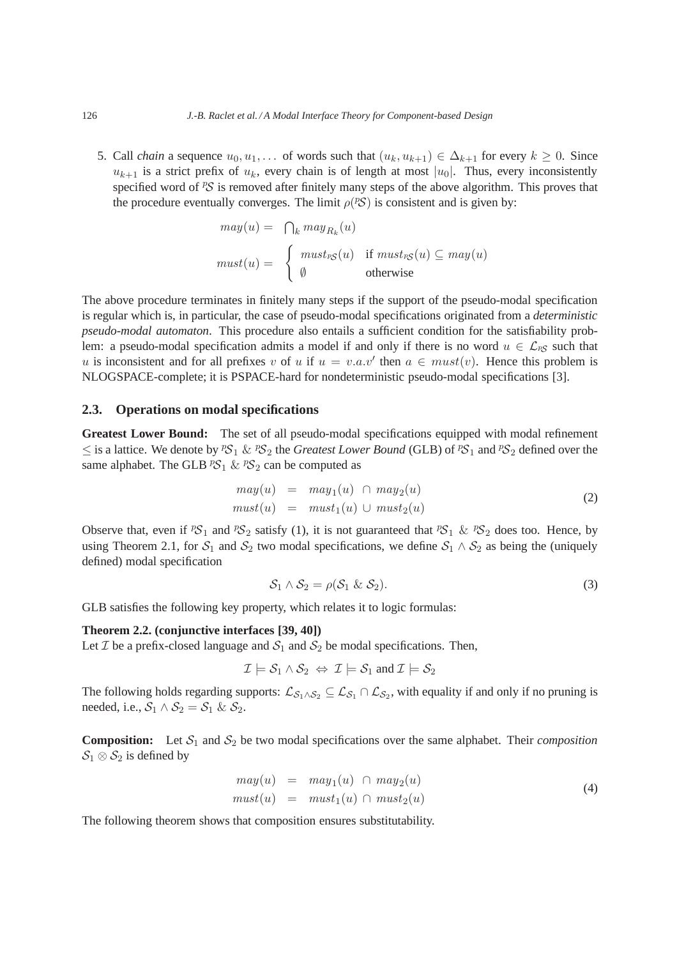5. Call *chain* a sequence  $u_0, u_1, \ldots$  of words such that  $(u_k, u_{k+1}) \in \Delta_{k+1}$  for every  $k \geq 0$ . Since  $u_{k+1}$  is a strict prefix of  $u_k$ , every chain is of length at most  $|u_0|$ . Thus, every inconsistently specified word of  ${}^{p}S$  is removed after finitely many steps of the above algorithm. This proves that the procedure eventually converges. The limit  $\rho$ (*PS*) is consistent and is given by:

$$
may(u) = \bigcap_{k} may_{R_k}(u)
$$
  

$$
must(u) = \begin{cases} must_{RS}(u) & \text{if } must_{RS}(u) \subseteq may(u) \\ \emptyset & \text{otherwise} \end{cases}
$$

The above procedure terminates in finitely many steps if the support of the pseudo-modal specification is regular which is, in particular, the case of pseudo-modal specifications originated from a *deterministic pseudo-modal automaton*. This procedure also entails a sufficient condition for the satisfiability problem: a pseudo-modal specification admits a model if and only if there is no word  $u \in \mathcal{L}_{PS}$  such that u is inconsistent and for all prefixes v of u if  $u = v.a.v'$  then  $a \in must(v)$ . Hence this problem is NLOGSPACE-complete; it is PSPACE-hard for nondeterministic pseudo-modal specifications [3].

## **2.3. Operations on modal specifications**

**Greatest Lower Bound:** The set of all pseudo-modal specifications equipped with modal refinement ≤ is a lattice. We denote by <sup>p</sup>S<sub>1</sub> & <sup>p</sup>S<sub>2</sub> the *Greatest Lower Bound* (GLB) of <sup>p</sup>S<sub>1</sub> and <sup>p</sup>S<sub>2</sub> defined over the same alphabet. The GLB  ${}^pS_1$  &  ${}^pS_2$  can be computed as

$$
may(u) = may_1(u) \cap may_2(u)
$$
  

$$
must(u) = must_1(u) \cup must_2(u)
$$
 (2)

Observe that, even if  ${}^pS_1$  and  ${}^pS_2$  satisfy (1), it is not guaranteed that  ${}^pS_1$  &  ${}^pS_2$  does too. Hence, by using Theorem 2.1, for  $S_1$  and  $S_2$  two modal specifications, we define  $S_1 \wedge S_2$  as being the (uniquely defined) modal specification

$$
S_1 \wedge S_2 = \rho(S_1 \& S_2). \tag{3}
$$

GLB satisfies the following key property, which relates it to logic formulas:

## **Theorem 2.2. (conjunctive interfaces [39, 40])**

Let *T* be a prefix-closed language and  $S_1$  and  $S_2$  be modal specifications. Then,

$$
\mathcal{I} \models \mathcal{S}_1 \land \mathcal{S}_2 \Leftrightarrow \mathcal{I} \models \mathcal{S}_1 \text{ and } \mathcal{I} \models \mathcal{S}_2
$$

The following holds regarding supports:  $\mathcal{L}_{S_1 \wedge S_2} \subseteq \mathcal{L}_{S_1} \cap \mathcal{L}_{S_2}$ , with equality if and only if no pruning is needed, i.e.,  $S_1 \wedge S_2 = S_1 \& S_2$ .

**Composition:** Let  $S_1$  and  $S_2$  be two modal specifications over the same alphabet. Their *composition*  $S_1 \otimes S_2$  is defined by

$$
may(u) = may_1(u) \cap may_2(u)
$$
  

$$
must(u) = must_1(u) \cap must_2(u)
$$
 (4)

The following theorem shows that composition ensures substitutability.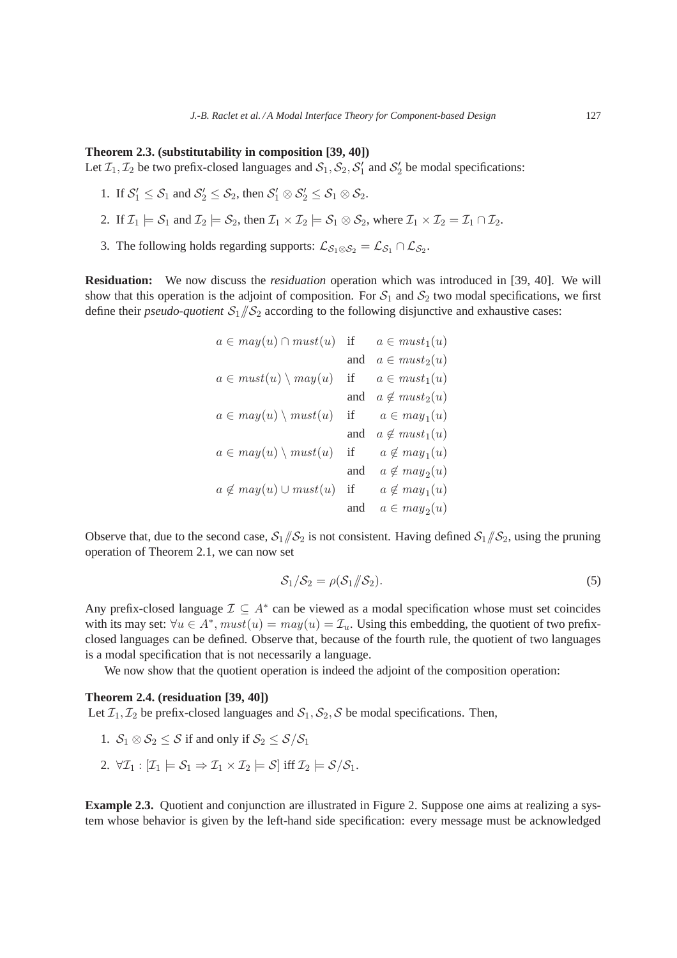#### **Theorem 2.3. (substitutability in composition [39, 40])**

Let  $\mathcal{I}_1, \mathcal{I}_2$  be two prefix-closed languages and  $\mathcal{S}_1, \mathcal{S}_2, \mathcal{S}'_1$  and  $\mathcal{S}'_2$  be modal specifications:

- 1. If  $S_1' \leq S_1$  and  $S_2' \leq S_2$ , then  $S_1' \otimes S_2' \leq S_1 \otimes S_2$ .
- 2. If  $\mathcal{I}_1 \models \mathcal{S}_1$  and  $\mathcal{I}_2 \models \mathcal{S}_2$ , then  $\mathcal{I}_1 \times \mathcal{I}_2 \models \mathcal{S}_1 \otimes \mathcal{S}_2$ , where  $\mathcal{I}_1 \times \mathcal{I}_2 = \mathcal{I}_1 \cap \mathcal{I}_2$ .
- 3. The following holds regarding supports:  $\mathcal{L}_{S_1 \otimes S_2} = \mathcal{L}_{S_1} \cap \mathcal{L}_{S_2}$ .

**Residuation:** We now discuss the *residuation* operation which was introduced in [39, 40]. We will show that this operation is the adjoint of composition. For  $S_1$  and  $S_2$  two modal specifications, we first define their *pseudo-quotient*  $S_1/\sqrt{S_2}$  according to the following disjunctive and exhaustive cases:

| $a \in may(u) \cap must(u)$      | if  | $a \in must_1(u)$    |
|----------------------------------|-----|----------------------|
|                                  | and | $a \in must_2(u)$    |
| $a \in must(u) \setminus may(u)$ | if  | $a \in must_1(u)$    |
|                                  | and | $a \notin must_2(u)$ |
| $a \in may(u) \setminus must(u)$ | if  | $a \in may_1(u)$     |
|                                  | and | $a \notin must_1(u)$ |
| $a \in may(u) \setminus must(u)$ | if  | $a \notin may_1(u)$  |
|                                  | and | $a \notin may_2(u)$  |
| $a \notin may(u) \cup must(u)$   | if  | $a \notin may_1(u)$  |
|                                  | and | $a \in may_2(u)$     |

Observe that, due to the second case,  $S_1/\sqrt{S_2}$  is not consistent. Having defined  $S_1/\sqrt{S_2}$ , using the pruning operation of Theorem 2.1, we can now set

$$
\mathcal{S}_1/\mathcal{S}_2 = \rho(\mathcal{S}_1/\!\!/\mathcal{S}_2). \tag{5}
$$

Any prefix-closed language  $\mathcal{I} \subseteq A^*$  can be viewed as a modal specification whose must set coincides with its may set:  $\forall u \in A^*$ ,  $must(u) = may(u) = \mathcal{I}_u$ . Using this embedding, the quotient of two prefixclosed languages can be defined. Observe that, because of the fourth rule, the quotient of two languages is a modal specification that is not necessarily a language.

We now show that the quotient operation is indeed the adjoint of the composition operation:

## **Theorem 2.4. (residuation [39, 40])**

Let  $\mathcal{I}_1, \mathcal{I}_2$  be prefix-closed languages and  $\mathcal{S}_1, \mathcal{S}_2, \mathcal{S}$  be modal specifications. Then,

- 1.  $S_1 \otimes S_2 \leq S$  if and only if  $S_2 \leq S/S_1$
- 2.  $\forall \mathcal{I}_1 : [\mathcal{I}_1 \models \mathcal{S}_1 \Rightarrow \mathcal{I}_1 \times \mathcal{I}_2 \models \mathcal{S}]$  iff  $\mathcal{I}_2 \models \mathcal{S}/\mathcal{S}_1$ .

**Example 2.3.** Quotient and conjunction are illustrated in Figure 2. Suppose one aims at realizing a system whose behavior is given by the left-hand side specification: every message must be acknowledged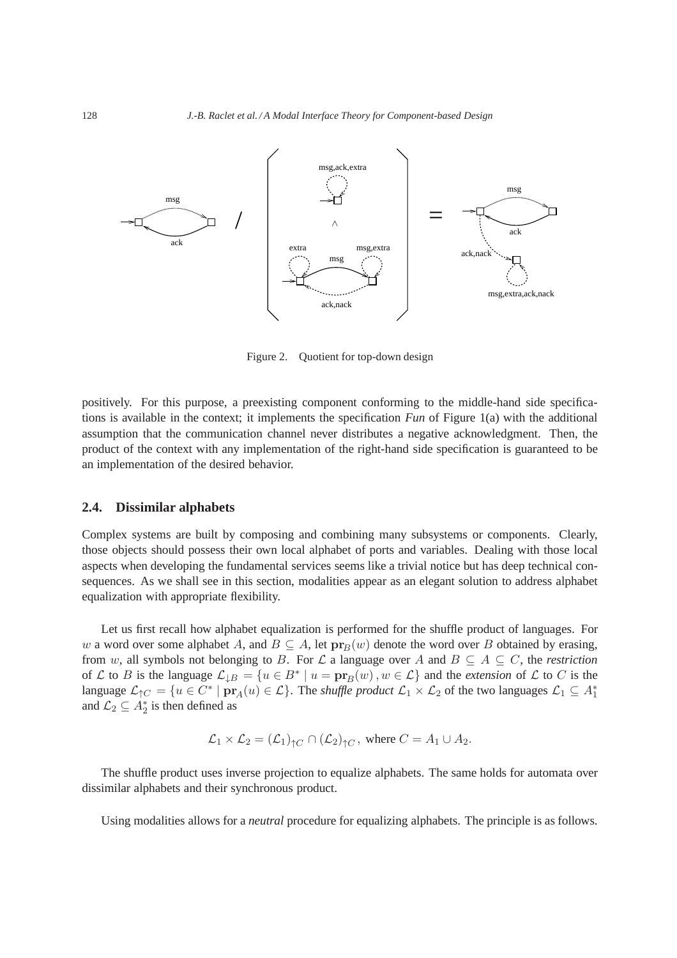

Figure 2. Ouotient for top-down design

positively. For this purpose, a preexisting component conforming to the middle-hand side specifications is available in the context; it implements the specification *Fun* of Figure 1(a) with the additional assumption that the communication channel never distributes a negative acknowledgment. Then, the product of the context with any implementation of the right-hand side specification is guaranteed to be an implementation of the desired behavior.

#### **2.4. Dissimilar alphabets**

Complex systems are built by composing and combining many subsystems or components. Clearly, those objects should possess their own local alphabet of ports and variables. Dealing with those local aspects when developing the fundamental services seems like a trivial notice but has deep technical consequences. As we shall see in this section, modalities appear as an elegant solution to address alphabet equalization with appropriate flexibility.

Let us first recall how alphabet equalization is performed for the shuffle product of languages. For w a word over some alphabet A, and  $B \subseteq A$ , let  $pr_B(w)$  denote the word over B obtained by erasing, from w, all symbols not belonging to B. For  $\mathcal L$  a language over A and  $B \subseteq A \subseteq C$ , the *restriction* of L to B is the language  $\mathcal{L}_{\downarrow B} = \{u \in B^* \mid u = \mathbf{pr}_B(w), w \in \mathcal{L}\}\$  and the *extension* of L to C is the language  $\mathcal{L}_{\uparrow C} = \{u \in C^* \mid \mathbf{pr}_A(u) \in \mathcal{L}\}\.$  The *shuffle product*  $\mathcal{L}_1 \times \mathcal{L}_2$  of the two languages  $\mathcal{L}_1 \subseteq A_1^*$ and  $\mathcal{L}_2 \subseteq A_2^*$  is then defined as

$$
\mathcal{L}_1 \times \mathcal{L}_2 = (\mathcal{L}_1)_{\uparrow C} \cap (\mathcal{L}_2)_{\uparrow C}
$$
, where  $C = A_1 \cup A_2$ .

The shuffle product uses inverse projection to equalize alphabets. The same holds for automata over dissimilar alphabets and their synchronous product.

Using modalities allows for a *neutral* procedure for equalizing alphabets. The principle is as follows.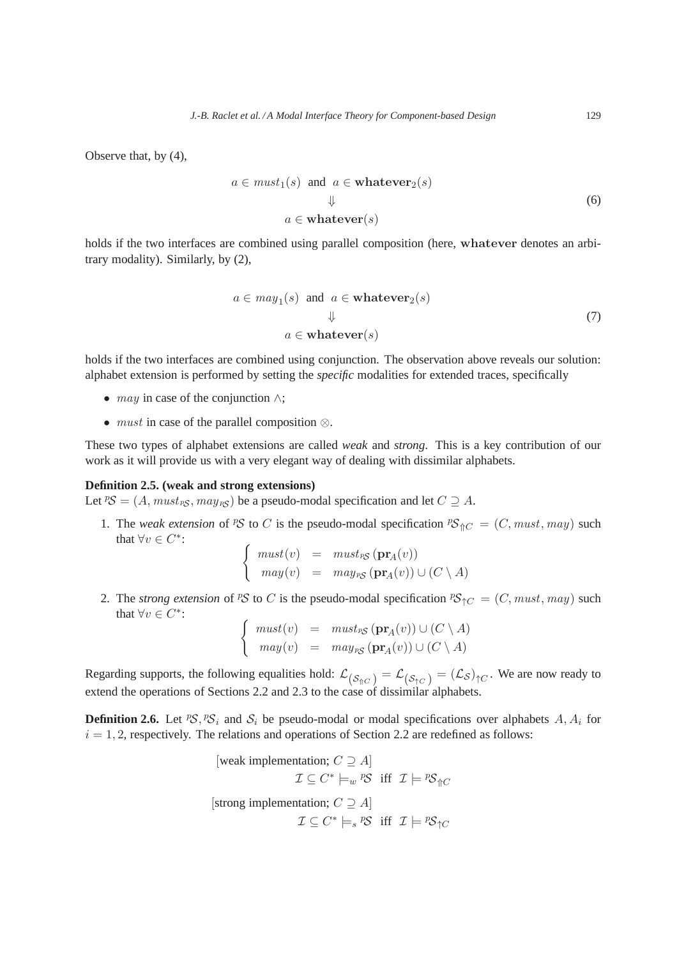Observe that, by (4),

$$
a \in must_1(s) \text{ and } a \in \mathbf{whatever}_2(s)
$$
  

$$
\downarrow \qquad (6)
$$
  

$$
a \in \mathbf{whatever}(s)
$$

holds if the two interfaces are combined using parallel composition (here, whatever denotes an arbitrary modality). Similarly, by (2),

$$
a \in may_1(s) \text{ and } a \in \mathbf{whatever}_2(s)
$$
  

$$
\downarrow
$$
  

$$
a \in \mathbf{whatever}(s)
$$
 (7)

holds if the two interfaces are combined using conjunction. The observation above reveals our solution: alphabet extension is performed by setting the *specific* modalities for extended traces, specifically

- *may* in case of the conjunction  $\wedge$ ;
- must in case of the parallel composition ⊗.

These two types of alphabet extensions are called *weak* and *strong*. This is a key contribution of our work as it will provide us with a very elegant way of dealing with dissimilar alphabets.

## **Definition 2.5. (weak and strong extensions)**

Let  ${}^p\mathcal{S} = (A, must_{\text{PS}}, may_{\text{PS}})$  be a pseudo-modal specification and let  $C \supseteq A$ .

1. The *weak extension* of <sup>p</sup>S to C is the pseudo-modal specification  ${}^pS_{\Upsilon C} = (C, must, may)$  such that  $\forall v \in C^*$ :

$$
\begin{cases}\n\text{must}(v) & = \text{ must}_{\text{PS}} (\mathbf{pr}_A(v)) \\
\text{may}(v) & = \text{ may}_{\text{PS}} (\mathbf{pr}_A(v)) \cup (C \setminus A)\n\end{cases}
$$

2. The *strong extension* of PS to C is the pseudo-modal specification  ${}^pS_{\uparrow C} = (C, must, may)$  such that  $\forall v \in C^*$ :

$$
\begin{cases}\n\text{must}(v) & = \text{ must}_{\text{PS}}(\mathbf{pr}_A(v)) \cup (C \setminus A) \\
\text{may}(v) & = \text{ may}_{\text{PS}}(\mathbf{pr}_A(v)) \cup (C \setminus A)\n\end{cases}
$$

Regarding supports, the following equalities hold:  $\mathcal{L}_{(\mathcal{S}_{\Uparrow C})} = \mathcal{L}_{(\mathcal{S}_{\Uparrow C})} = (\mathcal{L}_{\mathcal{S}})_{\Uparrow C}$ . We are now ready to extend the operations of Sections 2.2 and 2.3 to the case of dissimilar alphabets.

**Definition 2.6.** Let  $PS$ ,  $PS_i$  and  $S_i$  be pseudo-modal or modal specifications over alphabets  $A, A_i$  for  $i = 1, 2$ , respectively. The relations and operations of Section 2.2 are redefined as follows:

[weak implementation; 
$$
C \supseteq A
$$
]  
\n $\mathcal{I} \subseteq C^* \models_w {}^pS$  iff  $\mathcal{I} \models {}^pS \uparrow_C$   
\n[strong implementation;  $C \supseteq A$ ]  
\n $\mathcal{I} \subseteq C^* \models_s {}^pS$  iff  $\mathcal{I} \models {}^pS \uparrow_C$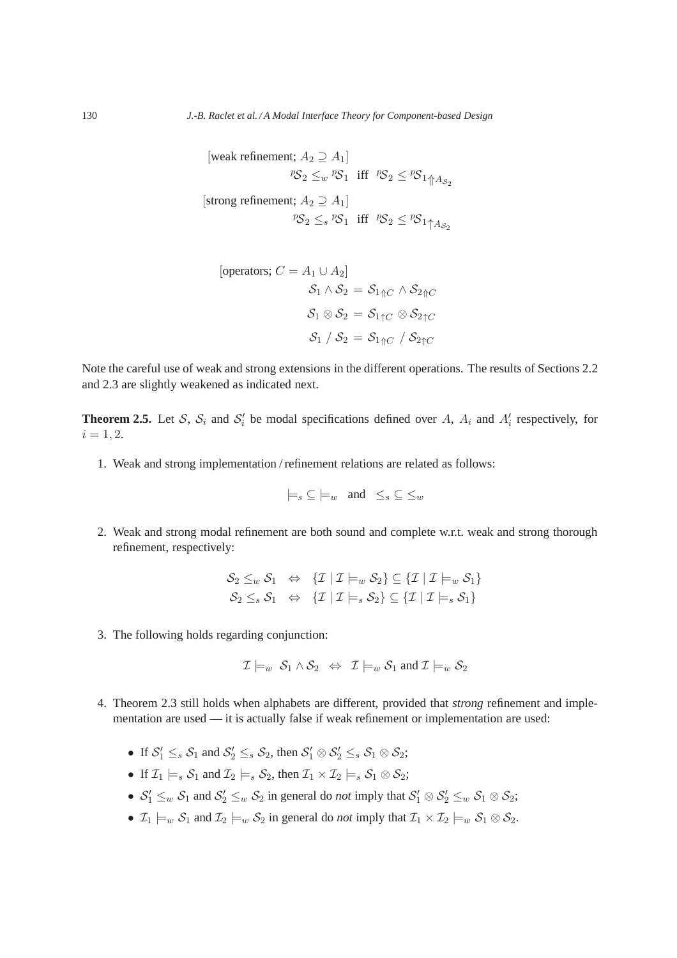[weak refinement;  $A_2 \supseteq A_1$ ]  $PS_2 \leq_w PS_1$  iff  $PS_2 \leq PS_1 \underset{\uparrow}{\uparrow} As_2$ [strong refinement;  $A_2 \supseteq A_1$ ]  $PS_2 \leq_s PS_1$  iff  $PS_2 \leq PS_1 \uparrow_{AS_2}$ 

[operators; 
$$
C = A_1 \cup A_2
$$
]  
\n
$$
S_1 \wedge S_2 = S_{1 \Uparrow C} \wedge S_{2 \Uparrow C}
$$
\n
$$
S_1 \otimes S_2 = S_{1 \Uparrow C} \otimes S_{2 \Uparrow C}
$$
\n
$$
S_1 / S_2 = S_{1 \Uparrow C} / S_{2 \Uparrow C}
$$

Note the careful use of weak and strong extensions in the different operations. The results of Sections 2.2 and 2.3 are slightly weakened as indicated next.

**Theorem 2.5.** Let S,  $S_i$  and  $S'_i$  be modal specifications defined over A,  $A_i$  and  $A'_i$  respectively, for  $i = 1, 2.$ 

1. Weak and strong implementation / refinement relations are related as follows:

$$
\models_s \subseteq \models_w \text{ and } \leq_s \subseteq \leq_w
$$

2. Weak and strong modal refinement are both sound and complete w.r.t. weak and strong thorough refinement, respectively:

$$
\mathcal{S}_2 \leq_w \mathcal{S}_1 \Leftrightarrow \{\mathcal{I} \mid \mathcal{I} \models_w \mathcal{S}_2\} \subseteq \{\mathcal{I} \mid \mathcal{I} \models_w \mathcal{S}_1\} \n\mathcal{S}_2 \leq_s \mathcal{S}_1 \Leftrightarrow \{\mathcal{I} \mid \mathcal{I} \models_s \mathcal{S}_2\} \subseteq \{\mathcal{I} \mid \mathcal{I} \models_s \mathcal{S}_1\}
$$

3. The following holds regarding conjunction:

$$
\mathcal{I}\models_w \mathcal{S}_1 \land \mathcal{S}_2 \iff \mathcal{I}\models_w \mathcal{S}_1 \text{ and } \mathcal{I}\models_w \mathcal{S}_2
$$

- 4. Theorem 2.3 still holds when alphabets are different, provided that *strong* refinement and implementation are used — it is actually false if weak refinement or implementation are used:
	- If  $S_1' \leq_s S_1$  and  $S_2' \leq_s S_2$ , then  $S_1' \otimes S_2' \leq_s S_1 \otimes S_2$ ;
	- If  $\mathcal{I}_1 \models_s \mathcal{S}_1$  and  $\mathcal{I}_2 \models_s \mathcal{S}_2$ , then  $\mathcal{I}_1 \times \mathcal{I}_2 \models_s \mathcal{S}_1 \otimes \mathcal{S}_2$ ;
	- $S'_1 \leq_w S_1$  and  $S'_2 \leq_w S_2$  in general do *not* imply that  $S'_1 \otimes S'_2 \leq_w S_1 \otimes S_2$ ;
	- $\mathcal{I}_1 \models_w \mathcal{S}_1$  and  $\mathcal{I}_2 \models_w \mathcal{S}_2$  in general do *not* imply that  $\mathcal{I}_1 \times \mathcal{I}_2 \models_w \mathcal{S}_1 \otimes \mathcal{S}_2$ .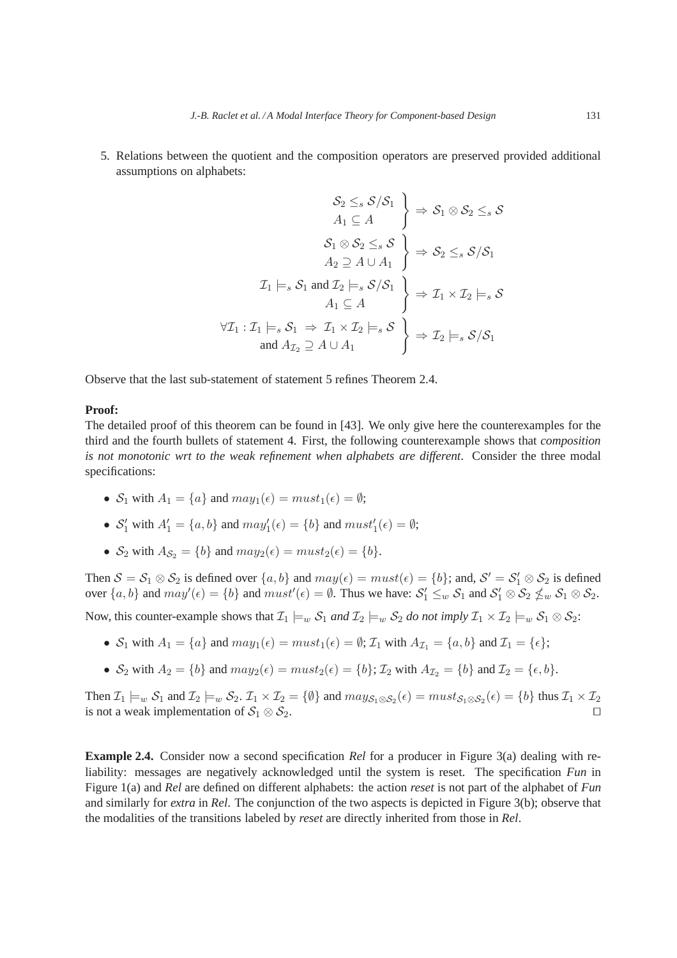5. Relations between the quotient and the composition operators are preserved provided additional assumptions on alphabets:

$$
\begin{aligned}\n\mathcal{S}_2 &\leq_s \mathcal{S}/\mathcal{S}_1 \\
A_1 &\subseteq A\n\end{aligned}\n\Rightarrow\n\mathcal{S}_1 \otimes \mathcal{S}_2 \leq_s \mathcal{S}
$$
\n
$$
\begin{aligned}\n\mathcal{S}_1 \otimes \mathcal{S}_2 &\leq_s \mathcal{S} \\
A_2 &\supseteq A \cup A_1\n\end{aligned}\n\Rightarrow\n\mathcal{S}_2 \leq_s \mathcal{S}/\mathcal{S}_1
$$
\n
$$
\mathcal{I}_1 \models_s \mathcal{S}_1 \text{ and } \mathcal{I}_2 \models_s \mathcal{S}/\mathcal{S}_1\n\Rightarrow\n\mathcal{I}_1 \times \mathcal{I}_2 \models_s \mathcal{S}
$$
\n
$$
\forall \mathcal{I}_1 : \mathcal{I}_1 \models_s \mathcal{S}_1 \Rightarrow \mathcal{I}_1 \times \mathcal{I}_2 \models_s \mathcal{S}\n\end{aligned}
$$
\nand\n
$$
\begin{aligned}\nA_{\mathcal{I}_2} \supseteq A \cup A_1\n\end{aligned}
$$

Observe that the last sub-statement of statement 5 refines Theorem 2.4.

## **Proof:**

The detailed proof of this theorem can be found in [43]. We only give here the counterexamples for the third and the fourth bullets of statement 4. First, the following counterexample shows that *composition is not monotonic wrt to the weak refinement when alphabets are different*. Consider the three modal specifications:

- $S_1$  with  $A_1 = \{a\}$  and  $may_1(\epsilon) = must_1(\epsilon) = \emptyset$ ;
- $S'_1$  with  $A'_1 = \{a, b\}$  and  $may'_1(\epsilon) = \{b\}$  and  $must'_1(\epsilon) = \emptyset$ ;
- $S_2$  with  $A_{S_2} = \{b\}$  and  $may_2(\epsilon) = must_2(\epsilon) = \{b\}.$

Then  $S = S_1 \otimes S_2$  is defined over  $\{a, b\}$  and  $may(\epsilon) = must(\epsilon) = \{b\}$ ; and,  $S' = S'_1 \otimes S_2$  is defined over  $\{a, b\}$  and  $may'(\epsilon) = \{b\}$  and  $must'(\epsilon) = \emptyset$ . Thus we have:  $S_1' \leq_w S_1$  and  $S_1' \otimes S_2 \nleq_w S_1 \otimes S_2$ .

Now, this counter-example shows that  $\mathcal{I}_1 \models_w \mathcal{S}_1$  and  $\mathcal{I}_2 \models_w \mathcal{S}_2$  *do not imply*  $\mathcal{I}_1 \times \mathcal{I}_2 \models_w \mathcal{S}_1 \otimes \mathcal{S}_2$ :

- $S_1$  with  $A_1 = \{a\}$  and  $may_1(\epsilon) = must_1(\epsilon) = \emptyset$ ;  $\mathcal{I}_1$  with  $A_{\mathcal{I}_1} = \{a, b\}$  and  $\mathcal{I}_1 = \{\epsilon\}$ ;
- $S_2$  with  $A_2 = \{b\}$  and  $may_2(\epsilon) = must_2(\epsilon) = \{b\}; \mathcal{I}_2$  with  $A_{\mathcal{I}_2} = \{b\}$  and  $\mathcal{I}_2 = \{\epsilon, b\}.$

Then  $\mathcal{I}_1 \models_w \mathcal{S}_1$  and  $\mathcal{I}_2 \models_w \mathcal{S}_2$ .  $\mathcal{I}_1 \times \mathcal{I}_2 = \{\emptyset\}$  and  $may_{\mathcal{S}_1 \otimes \mathcal{S}_2}(\epsilon) = must_{\mathcal{S}_1 \otimes \mathcal{S}_2}(\epsilon) = \{b\}$  thus  $\mathcal{I}_1 \times \mathcal{I}_2$ is not a weak implementation of  $S_1 \otimes S_2$ . □

**Example 2.4.** Consider now a second specification *Rel* for a producer in Figure 3(a) dealing with reliability: messages are negatively acknowledged until the system is reset. The specification *Fun* in Figure 1(a) and *Rel* are defined on different alphabets: the action *reset* is not part of the alphabet of *Fun* and similarly for *extra* in *Rel*. The conjunction of the two aspects is depicted in Figure 3(b); observe that the modalities of the transitions labeled by *reset* are directly inherited from those in *Rel*.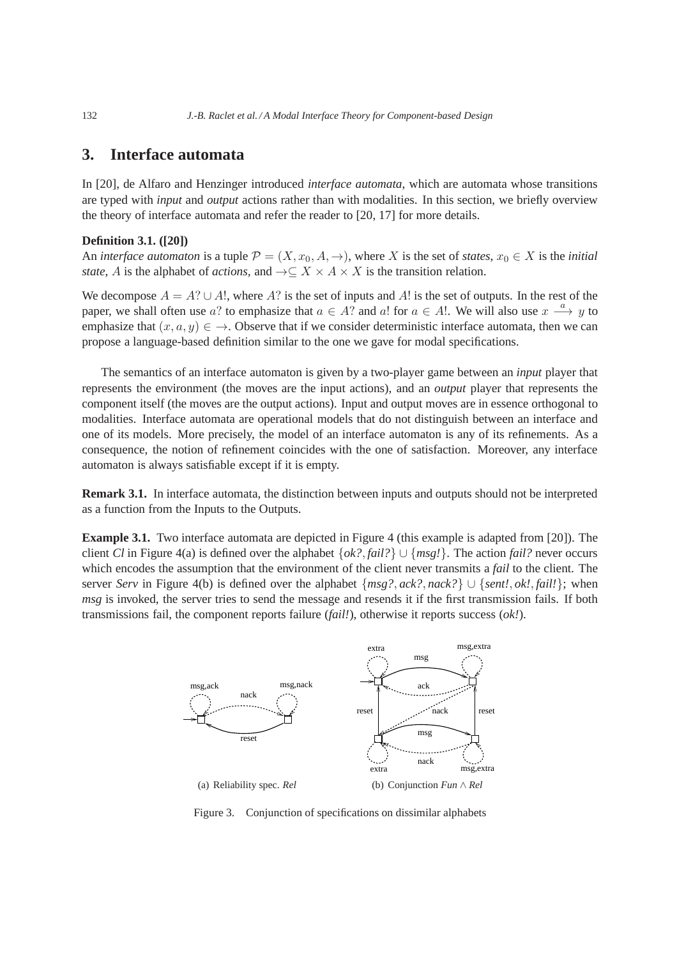# **3. Interface automata**

In [20], de Alfaro and Henzinger introduced *interface automata*, which are automata whose transitions are typed with *input* and *output* actions rather than with modalities. In this section, we briefly overview the theory of interface automata and refer the reader to [20, 17] for more details.

## **Definition 3.1. ([20])**

An *interface automaton* is a tuple  $\mathcal{P} = (X, x_0, A, \rightarrow)$ , where X is the set of *states*,  $x_0 \in X$  is the *initial state*, A is the alphabet of *actions*, and  $\rightarrow \subseteq X \times A \times X$  is the transition relation.

We decompose  $A = A? \cup A!$ , where A? is the set of inputs and A! is the set of outputs. In the rest of the paper, we shall often use a? to emphasize that  $a \in A$ ? and a! for  $a \in A$ !. We will also use  $x \stackrel{a}{\longrightarrow} y$  to emphasize that  $(x, a, y) \in \to$ . Observe that if we consider deterministic interface automata, then we can propose a language-based definition similar to the one we gave for modal specifications.

The semantics of an interface automaton is given by a two-player game between an *input* player that represents the environment (the moves are the input actions), and an *output* player that represents the component itself (the moves are the output actions). Input and output moves are in essence orthogonal to modalities. Interface automata are operational models that do not distinguish between an interface and one of its models. More precisely, the model of an interface automaton is any of its refinements. As a consequence, the notion of refinement coincides with the one of satisfaction. Moreover, any interface automaton is always satisfiable except if it is empty.

**Remark 3.1.** In interface automata, the distinction between inputs and outputs should not be interpreted as a function from the Inputs to the Outputs.

**Example 3.1.** Two interface automata are depicted in Figure 4 (this example is adapted from [20]). The client *Cl* in Figure 4(a) is defined over the alphabet {*ok?*, *fail?*} ∪ {*msg!*}. The action *fail?* never occurs which encodes the assumption that the environment of the client never transmits a *fail* to the client. The server *Serv* in Figure 4(b) is defined over the alphabet {*msg?*, *ack?*, *nack?*} ∪ {*sent!*, *ok!*, *fail!*}; when *msg* is invoked, the server tries to send the message and resends it if the first transmission fails. If both transmissions fail, the component reports failure (*fail!*), otherwise it reports success (*ok!*).



Figure 3. Conjunction of specifications on dissimilar alphabets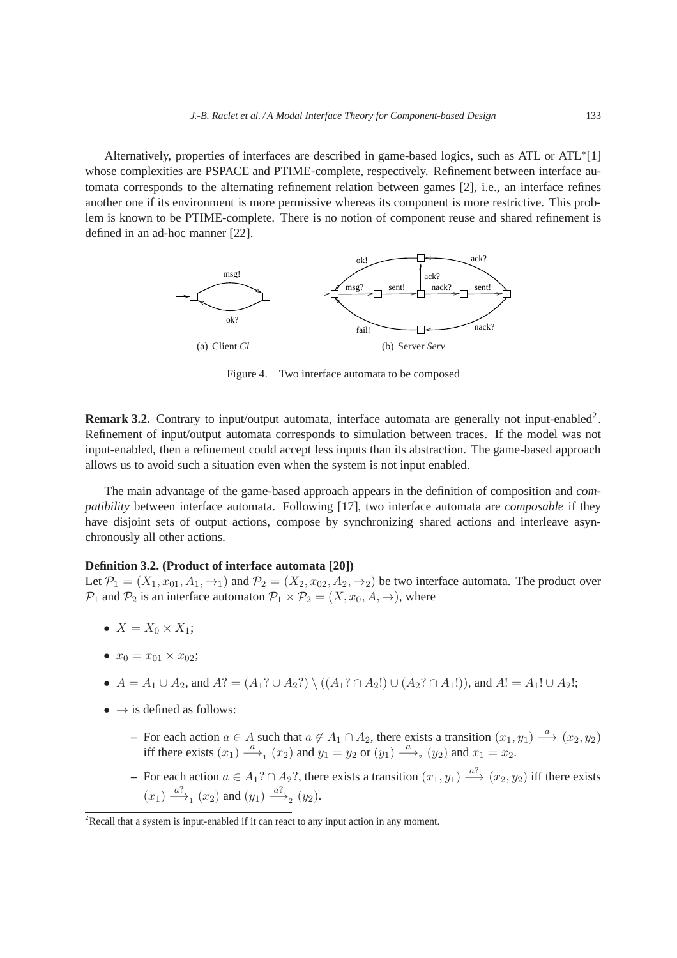Alternatively, properties of interfaces are described in game-based logics, such as ATL or ATL<sup>∗</sup> [1] whose complexities are PSPACE and PTIME-complete, respectively. Refinement between interface automata corresponds to the alternating refinement relation between games [2], i.e., an interface refines another one if its environment is more permissive whereas its component is more restrictive. This problem is known to be PTIME-complete. There is no notion of component reuse and shared refinement is defined in an ad-hoc manner [22].



Figure 4. Two interface automata to be composed

**Remark 3.2.** Contrary to input/output automata, interface automata are generally not input-enabled<sup>2</sup>. Refinement of input/output automata corresponds to simulation between traces. If the model was not input-enabled, then a refinement could accept less inputs than its abstraction. The game-based approach allows us to avoid such a situation even when the system is not input enabled.

The main advantage of the game-based approach appears in the definition of composition and *compatibility* between interface automata. Following [17], two interface automata are *composable* if they have disjoint sets of output actions, compose by synchronizing shared actions and interleave asynchronously all other actions.

# **Definition 3.2. (Product of interface automata [20])**

Let  $\mathcal{P}_1 = (X_1, x_{01}, A_1, \rightarrow_1)$  and  $\mathcal{P}_2 = (X_2, x_{02}, A_2, \rightarrow_2)$  be two interface automata. The product over  $P_1$  and  $P_2$  is an interface automaton  $P_1 \times P_2 = (X, x_0, A, \rightarrow)$ , where

- $X = X_0 \times X_1$ ;
- $x_0 = x_{01} \times x_{02}$ ;

•  $A = A_1 \cup A_2$ , and  $A? = (A_1? \cup A_2?) \setminus ((A_1? \cap A_2!) \cup (A_2? \cap A_1!)$ , and  $A! = A_1! \cup A_2!$ ;

- $\bullet \rightarrow$  is defined as follows:
	- **–** For each action  $a \in A$  such that  $a \notin A_1 \cap A_2$ , there exists a transition  $(x_1, y_1) \stackrel{a}{\longrightarrow} (x_2, y_2)$ iff there exists  $(x_1) \stackrel{a}{\longrightarrow}_1 (x_2)$  and  $y_1 = y_2$  or  $(y_1) \stackrel{a}{\longrightarrow}_2 (y_2)$  and  $x_1 = x_2$ .
	- − For each action  $a \in A_1? \cap A_2?$ , there exists a transition  $(x_1, y_1) \stackrel{a?}{\longrightarrow} (x_2, y_2)$  iff there exists  $(x_1) \xrightarrow{a?} (x_2)$  and  $(y_1) \xrightarrow{a?} (y_2)$ .

 $2$ Recall that a system is input-enabled if it can react to any input action in any moment.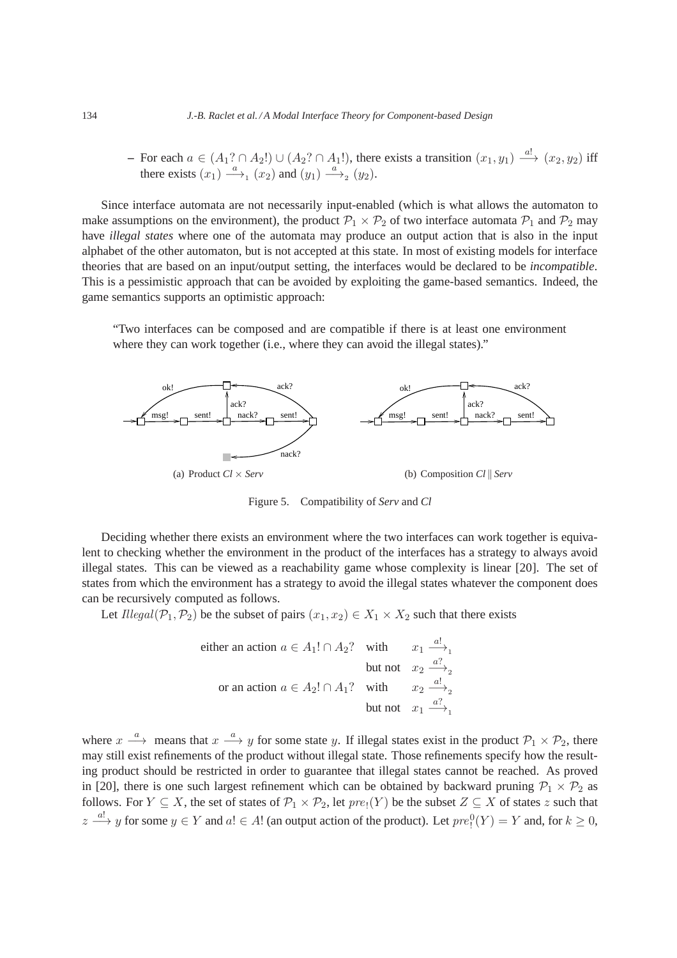**–** For each  $a \in (A_1? \cap A_2!) \cup (A_2? \cap A_1!)$ , there exists a transition  $(x_1, y_1) \stackrel{a!}{\longrightarrow} (x_2, y_2)$  iff there exists  $(x_1) \stackrel{a}{\longrightarrow}_1 (x_2)$  and  $(y_1) \stackrel{a}{\longrightarrow}_2 (y_2)$ .

Since interface automata are not necessarily input-enabled (which is what allows the automaton to make assumptions on the environment), the product  $P_1 \times P_2$  of two interface automata  $P_1$  and  $P_2$  may have *illegal states* where one of the automata may produce an output action that is also in the input alphabet of the other automaton, but is not accepted at this state. In most of existing models for interface theories that are based on an input/output setting, the interfaces would be declared to be *incompatible*. This is a pessimistic approach that can be avoided by exploiting the game-based semantics. Indeed, the game semantics supports an optimistic approach:

"Two interfaces can be composed and are compatible if there is at least one environment where they can work together (i.e., where they can avoid the illegal states)."



Figure 5. Compatibility of *Serv* and *Cl*

Deciding whether there exists an environment where the two interfaces can work together is equivalent to checking whether the environment in the product of the interfaces has a strategy to always avoid illegal states. This can be viewed as a reachability game whose complexity is linear [20]. The set of states from which the environment has a strategy to avoid the illegal states whatever the component does can be recursively computed as follows.

Let Illegal( $\mathcal{P}_1, \mathcal{P}_2$ ) be the subset of pairs  $(x_1, x_2) \in X_1 \times X_2$  such that there exists

either an action 
$$
a \in A_1! \cap A_2
$$
? with  $x_1 \xrightarrow{a!}$   
but not  $x_2 \xrightarrow{a?}$   
or an action  $a \in A_2! \cap A_1$ ? with  $x_2 \xrightarrow{a!}$   
but not  $x_1 \xrightarrow{a?}$   
but not  $x_1 \xrightarrow{a?}$ 

where  $x \stackrel{a}{\longrightarrow}$  means that  $x \stackrel{a}{\longrightarrow} y$  for some state y. If illegal states exist in the product  $\mathcal{P}_1 \times \mathcal{P}_2$ , there may still exist refinements of the product without illegal state. Those refinements specify how the resulting product should be restricted in order to guarantee that illegal states cannot be reached. As proved in [20], there is one such largest refinement which can be obtained by backward pruning  $P_1 \times P_2$  as follows. For  $Y \subseteq X$ , the set of states of  $\mathcal{P}_1 \times \mathcal{P}_2$ , let  $pre_1(Y)$  be the subset  $Z \subseteq X$  of states z such that  $z \stackrel{a!}{\longrightarrow} y$  for some  $y \in Y$  and  $a! \in A!$  (an output action of the product). Let  $pre_1^0(Y) = Y$  and, for  $k \ge 0$ ,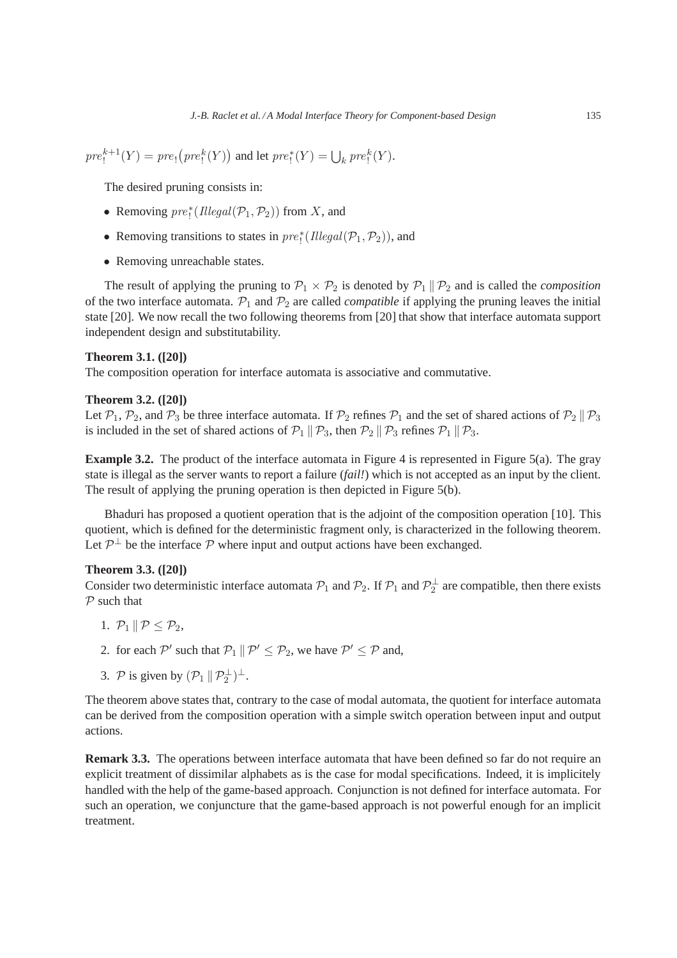$\text{pre}_!^{k+1}(Y) = \text{pre}_! \big(\text{pre}_!^k(Y)\big)$  and let  $\text{pre}_!^*(Y) = \bigcup_k \text{pre}_!^k(Y)$ .

The desired pruning consists in:

- Removing  $\text{pre}_!^*(\text{Ilegal}(\mathcal{P}_1, \mathcal{P}_2))$  from X, and
- Removing transitions to states in  $\text{pre}_1^* (I \leq l(\mathcal{P}_1, \mathcal{P}_2))$ , and
- Removing unreachable states.

The result of applying the pruning to  $\mathcal{P}_1 \times \mathcal{P}_2$  is denoted by  $\mathcal{P}_1 \parallel \mathcal{P}_2$  and is called the *composition* of the two interface automata.  $\mathcal{P}_1$  and  $\mathcal{P}_2$  are called *compatible* if applying the pruning leaves the initial state [20]. We now recall the two following theorems from [20] that show that interface automata support independent design and substitutability.

## **Theorem 3.1. ([20])**

The composition operation for interface automata is associative and commutative.

## **Theorem 3.2. ([20])**

Let  $\mathcal{P}_1$ ,  $\mathcal{P}_2$ , and  $\mathcal{P}_3$  be three interface automata. If  $\mathcal{P}_2$  refines  $\mathcal{P}_1$  and the set of shared actions of  $\mathcal{P}_2 \parallel \mathcal{P}_3$ is included in the set of shared actions of  $P_1 \parallel P_3$ , then  $P_2 \parallel P_3$  refines  $P_1 \parallel P_3$ .

**Example 3.2.** The product of the interface automata in Figure 4 is represented in Figure 5(a). The gray state is illegal as the server wants to report a failure (*fail!*) which is not accepted as an input by the client. The result of applying the pruning operation is then depicted in Figure 5(b).

Bhaduri has proposed a quotient operation that is the adjoint of the composition operation [10]. This quotient, which is defined for the deterministic fragment only, is characterized in the following theorem. Let  $\mathcal{P}^{\perp}$  be the interface  $\mathcal P$  where input and output actions have been exchanged.

## **Theorem 3.3. ([20])**

Consider two deterministic interface automata  $P_1$  and  $P_2$ . If  $P_1$  and  $P_2^{\perp}$  are compatible, then there exists  $P$  such that

- 1.  $\mathcal{P}_1 \parallel \mathcal{P} \leq \mathcal{P}_2$ ,
- 2. for each  $\mathcal{P}'$  such that  $\mathcal{P}_1 \parallel \mathcal{P}' \leq \mathcal{P}_2$ , we have  $\mathcal{P}' \leq \mathcal{P}$  and,
- 3. P is given by  $(\mathcal{P}_1 \parallel \mathcal{P}_2^{\perp})^{\perp}$ .

The theorem above states that, contrary to the case of modal automata, the quotient for interface automata can be derived from the composition operation with a simple switch operation between input and output actions.

**Remark 3.3.** The operations between interface automata that have been defined so far do not require an explicit treatment of dissimilar alphabets as is the case for modal specifications. Indeed, it is implicitely handled with the help of the game-based approach. Conjunction is not defined for interface automata. For such an operation, we conjuncture that the game-based approach is not powerful enough for an implicit treatment.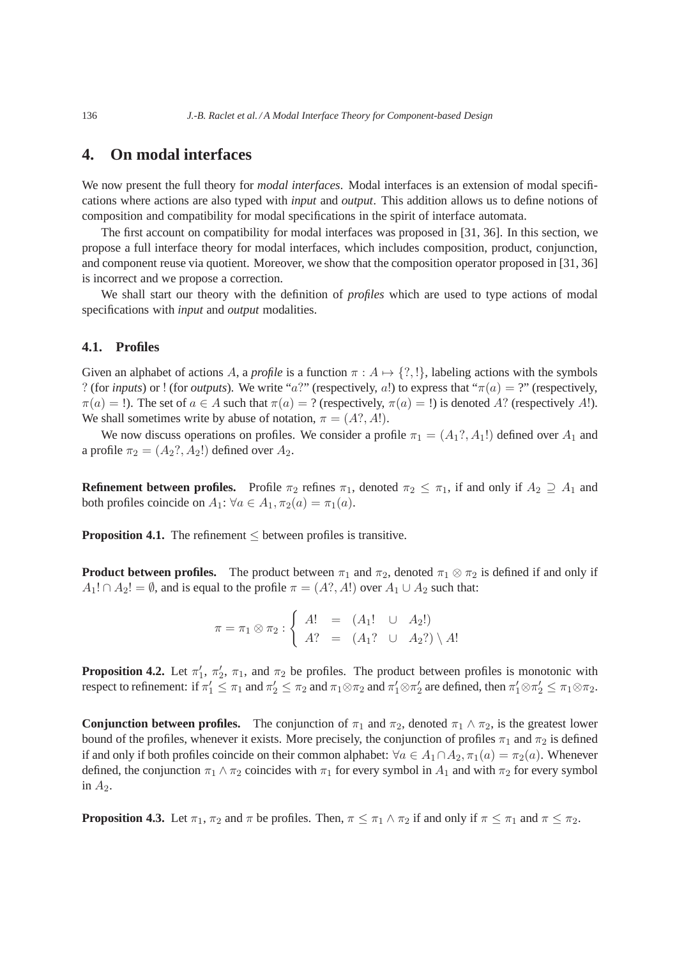# **4. On modal interfaces**

We now present the full theory for *modal interfaces*. Modal interfaces is an extension of modal specifications where actions are also typed with *input* and *output*. This addition allows us to define notions of composition and compatibility for modal specifications in the spirit of interface automata.

The first account on compatibility for modal interfaces was proposed in [31, 36]. In this section, we propose a full interface theory for modal interfaces, which includes composition, product, conjunction, and component reuse via quotient. Moreover, we show that the composition operator proposed in [31, 36] is incorrect and we propose a correction.

We shall start our theory with the definition of *profiles* which are used to type actions of modal specifications with *input* and *output* modalities.

## **4.1. Profiles**

Given an alphabet of actions A, a *profile* is a function  $\pi : A \mapsto \{?, !\}$ , labeling actions with the symbols ? (for *inputs*) or ! (for *outputs*). We write "a?" (respectively, a!) to express that " $\pi(a) =$  ?" (respectively,  $\pi(a) =$  !). The set of  $a \in A$  such that  $\pi(a) = ?$  (respectively,  $\pi(a) =$  !) is denoted A? (respectively A!). We shall sometimes write by abuse of notation,  $\pi = (A? , A!)$ .

We now discuss operations on profiles. We consider a profile  $\pi_1 = (A_1? , A_1!)$  defined over  $A_1$  and a profile  $\pi_2 = (A_2? A_2!)$  defined over  $A_2$ .

**Refinement between profiles.** Profile  $\pi_2$  refines  $\pi_1$ , denoted  $\pi_2 \leq \pi_1$ , if and only if  $A_2 \supseteq A_1$  and both profiles coincide on  $A_1$ :  $\forall a \in A_1$ ,  $\pi_2(a) = \pi_1(a)$ .

**Proposition 4.1.** The refinement  $\leq$  between profiles is transitive.

**Product between profiles.** The product between  $\pi_1$  and  $\pi_2$ , denoted  $\pi_1 \otimes \pi_2$  is defined if and only if  $A_1! \cap A_2! = \emptyset$ , and is equal to the profile  $\pi = (A? , A!)$  over  $A_1 \cup A_2$  such that:

$$
\pi = \pi_1 \otimes \pi_2 : \begin{cases} A! &= (A_1! \cup A_2!) \\ A? &= (A_1? \cup A_2?) \setminus A! \end{cases}
$$

**Proposition 4.2.** Let  $\pi'_1$ ,  $\pi'_2$ ,  $\pi_1$ , and  $\pi_2$  be profiles. The product between profiles is monotonic with respect to refinement: if  $\pi'_1\leq \pi_1$  and  $\pi'_2\leq \pi_2$  and  $\pi_1\otimes\pi_2$  and  $\pi'_1\otimes\pi'_2$  are defined, then  $\pi'_1\otimes\pi'_2\leq \pi_1\otimes\pi_2.$ 

**Conjunction between profiles.** The conjunction of  $\pi_1$  and  $\pi_2$ , denoted  $\pi_1 \wedge \pi_2$ , is the greatest lower bound of the profiles, whenever it exists. More precisely, the conjunction of profiles  $\pi_1$  and  $\pi_2$  is defined if and only if both profiles coincide on their common alphabet:  $\forall a \in A_1 \cap A_2$ ,  $\pi_1(a) = \pi_2(a)$ . Whenever defined, the conjunction  $\pi_1 \wedge \pi_2$  coincides with  $\pi_1$  for every symbol in  $A_1$  and with  $\pi_2$  for every symbol in  $A_2$ .

**Proposition 4.3.** Let  $\pi_1$ ,  $\pi_2$  and  $\pi$  be profiles. Then,  $\pi \leq \pi_1 \wedge \pi_2$  if and only if  $\pi \leq \pi_1$  and  $\pi \leq \pi_2$ .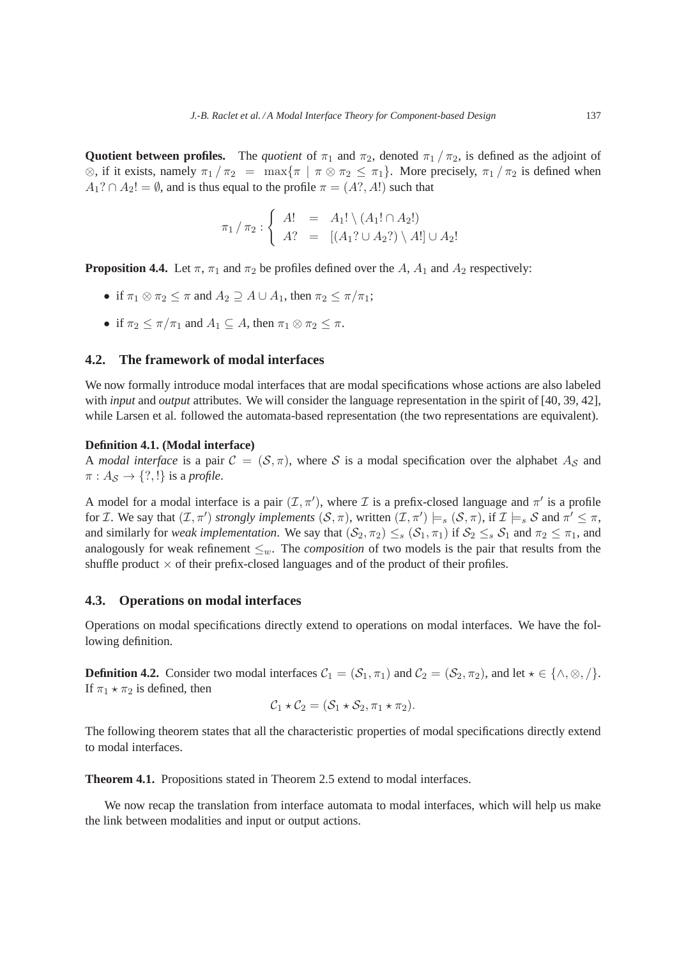**Quotient between profiles.** The *quotient* of  $\pi_1$  and  $\pi_2$ , denoted  $\pi_1/\pi_2$ , is defined as the adjoint of  $\otimes$ , if it exists, namely  $\pi_1 / \pi_2 = \max{\pi | \pi \otimes \pi_2 \leq \pi_1}$ . More precisely,  $\pi_1 / \pi_2$  is defined when  $A_1$ ?  $\cap$   $A_2$ ! =  $\emptyset$ , and is thus equal to the profile  $\pi = (A$ ?, A!) such that

$$
\pi_1/\pi_2 : \begin{cases}\nA! &= A_1! \setminus (A_1! \cap A_2!) \\
A? &= [(A_1? \cup A_2?) \setminus A!] \cup A_2!\n\end{cases}
$$

**Proposition 4.4.** Let  $\pi$ ,  $\pi_1$  and  $\pi_2$  be profiles defined over the A,  $A_1$  and  $A_2$  respectively:

- if  $\pi_1 \otimes \pi_2 \leq \pi$  and  $A_2 \supseteq A \cup A_1$ , then  $\pi_2 \leq \pi/\pi_1$ ;
- if  $\pi_2 \leq \pi/\pi_1$  and  $A_1 \subseteq A$ , then  $\pi_1 \otimes \pi_2 \leq \pi$ .

## **4.2. The framework of modal interfaces**

We now formally introduce modal interfaces that are modal specifications whose actions are also labeled with *input* and *output* attributes. We will consider the language representation in the spirit of [40, 39, 42], while Larsen et al. followed the automata-based representation (the two representations are equivalent).

## **Definition 4.1. (Modal interface)**

A *modal interface* is a pair  $C = (S, \pi)$ , where S is a modal specification over the alphabet  $A_S$  and  $\pi: A_{\mathcal{S}} \to \{?, !\}$  is a *profile*.

A model for a modal interface is a pair  $(\mathcal{I}, \pi')$ , where  $\mathcal I$  is a prefix-closed language and  $\pi'$  is a profile for *I*. We say that  $(\mathcal{I}, \pi')$  *strongly implements*  $(\mathcal{S}, \pi)$ , written  $(\mathcal{I}, \pi') \models_s (\mathcal{S}, \pi)$ , if  $\mathcal{I} \models_s \mathcal{S}$  and  $\pi' \leq \pi$ , and similarly for *weak implementation*. We say that  $(S_2, \pi_2) \leq_s (S_1, \pi_1)$  if  $S_2 \leq_s S_1$  and  $\pi_2 \leq \pi_1$ , and analogously for weak refinement  $\leq_w$ . The *composition* of two models is the pair that results from the shuffle product  $\times$  of their prefix-closed languages and of the product of their profiles.

## **4.3. Operations on modal interfaces**

Operations on modal specifications directly extend to operations on modal interfaces. We have the following definition.

**Definition 4.2.** Consider two modal interfaces  $C_1 = (S_1, \pi_1)$  and  $C_2 = (S_2, \pi_2)$ , and let  $\star \in \{\land, \otimes, \land\}.$ If  $\pi_1 \star \pi_2$  is defined, then

$$
C_1 \star C_2 = (S_1 \star S_2, \pi_1 \star \pi_2).
$$

The following theorem states that all the characteristic properties of modal specifications directly extend to modal interfaces.

**Theorem 4.1.** Propositions stated in Theorem 2.5 extend to modal interfaces.

We now recap the translation from interface automata to modal interfaces, which will help us make the link between modalities and input or output actions.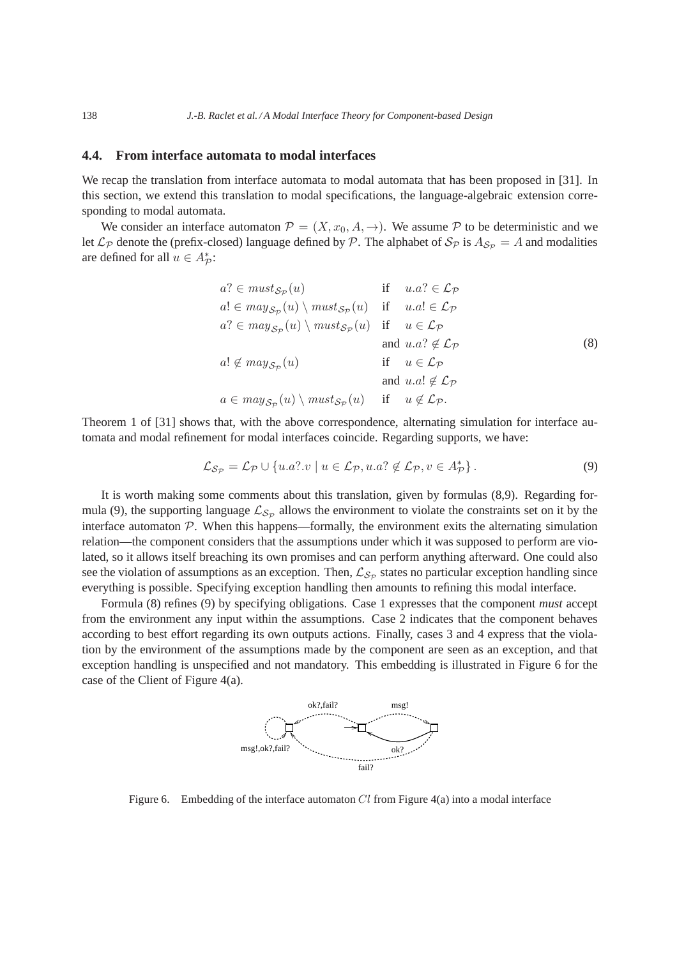## **4.4. From interface automata to modal interfaces**

We recap the translation from interface automata to modal automata that has been proposed in [31]. In this section, we extend this translation to modal specifications, the language-algebraic extension corresponding to modal automata.

We consider an interface automaton  $\mathcal{P} = (X, x_0, A, \rightarrow)$ . We assume P to be deterministic and we let  $\mathcal{L}_{\mathcal{P}}$  denote the (prefix-closed) language defined by  $\mathcal{P}$ . The alphabet of  $\mathcal{S}_{\mathcal{P}}$  is  $A_{\mathcal{S}_{\mathcal{P}}} = A$  and modalities are defined for all  $u \in A_{\mathcal{P}}^*$ :

$$
a? \in must_{\mathcal{S}_{\mathcal{P}}}(u) \quad \text{if} \quad u.a? \in \mathcal{L}_{\mathcal{P}}a! \in may_{\mathcal{S}_{\mathcal{P}}}(u) \setminus must_{\mathcal{S}_{\mathcal{P}}}(u) \quad \text{if} \quad u.a! \in \mathcal{L}_{\mathcal{P}}a? \in may_{\mathcal{S}_{\mathcal{P}}}(u) \setminus must_{\mathcal{S}_{\mathcal{P}}}(u) \quad \text{if} \quad u \in \mathcal{L}_{\mathcal{P}}a! \notin may_{\mathcal{S}_{\mathcal{P}}}(u) \quad \text{if} \quad u \in \mathcal{L}_{\mathcal{P}}a \in may_{\mathcal{S}_{\mathcal{P}}}(u) \setminus must_{\mathcal{S}_{\mathcal{P}}}(u) \quad \text{if} \quad u \notin \mathcal{L}_{\mathcal{P}}a \in may_{\mathcal{S}_{\mathcal{P}}}(u) \setminus must_{\mathcal{S}_{\mathcal{P}}}(u) \quad \text{if} \quad u \notin \mathcal{L}_{\mathcal{P}}.
$$

Theorem 1 of [31] shows that, with the above correspondence, alternating simulation for interface automata and modal refinement for modal interfaces coincide. Regarding supports, we have:

$$
\mathcal{L}_{\mathcal{S}_{\mathcal{P}}} = \mathcal{L}_{\mathcal{P}} \cup \{u.a? \cdot v \mid u \in \mathcal{L}_{\mathcal{P}}, u.a? \notin \mathcal{L}_{\mathcal{P}}, v \in A_{\mathcal{P}}^{*}\}.
$$
\n(9)

It is worth making some comments about this translation, given by formulas (8,9). Regarding formula (9), the supporting language  $\mathcal{L}_{S_p}$  allows the environment to violate the constraints set on it by the interface automaton  $P$ . When this happens—formally, the environment exits the alternating simulation relation—the component considers that the assumptions under which it was supposed to perform are violated, so it allows itself breaching its own promises and can perform anything afterward. One could also see the violation of assumptions as an exception. Then,  $\mathcal{L}_{S_p}$  states no particular exception handling since everything is possible. Specifying exception handling then amounts to refining this modal interface.

Formula (8) refines (9) by specifying obligations. Case 1 expresses that the component *must* accept from the environment any input within the assumptions. Case 2 indicates that the component behaves according to best effort regarding its own outputs actions. Finally, cases 3 and 4 express that the violation by the environment of the assumptions made by the component are seen as an exception, and that exception handling is unspecified and not mandatory. This embedding is illustrated in Figure 6 for the case of the Client of Figure 4(a).



Figure 6. Embedding of the interface automaton  $Cl$  from Figure 4(a) into a modal interface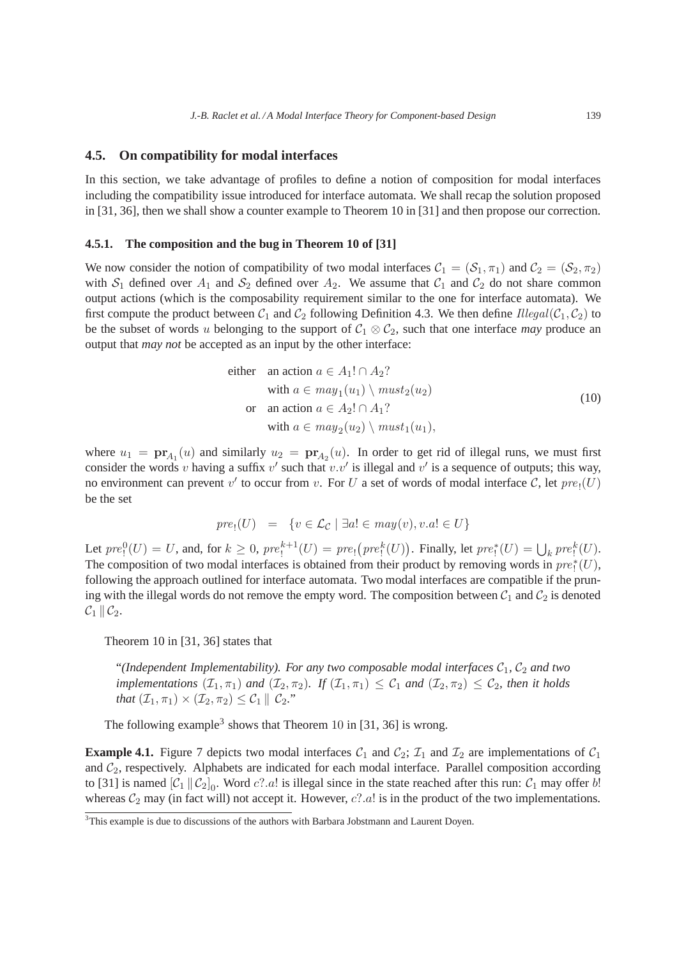## **4.5. On compatibility for modal interfaces**

In this section, we take advantage of profiles to define a notion of composition for modal interfaces including the compatibility issue introduced for interface automata. We shall recap the solution proposed in [31, 36], then we shall show a counter example to Theorem 10 in [31] and then propose our correction.

## **4.5.1. The composition and the bug in Theorem 10 of [31]**

We now consider the notion of compatibility of two modal interfaces  $C_1 = (S_1, \pi_1)$  and  $C_2 = (S_2, \pi_2)$ with  $S_1$  defined over  $A_1$  and  $S_2$  defined over  $A_2$ . We assume that  $C_1$  and  $C_2$  do not share common output actions (which is the composability requirement similar to the one for interface automata). We first compute the product between  $C_1$  and  $C_2$  following Definition 4.3. We then define *Illegal*( $C_1, C_2$ ) to be the subset of words u belonging to the support of  $C_1 \otimes C_2$ , such that one interface *may* produce an output that *may not* be accepted as an input by the other interface:

either an action 
$$
a \in A_1! \cap A_2
$$
?  
\nwith  $a \in may_1(u_1) \setminus must_2(u_2)$   
\nor an action  $a \in A_2! \cap A_1$ ?  
\nwith  $a \in may_2(u_2) \setminus must_1(u_1)$ , (10)

where  $u_1 = \mathbf{pr}_{A_1}(u)$  and similarly  $u_2 = \mathbf{pr}_{A_2}(u)$ . In order to get rid of illegal runs, we must first consider the words v having a suffix  $v'$  such that  $v.v'$  is illegal and  $v'$  is a sequence of outputs; this way, no environment can prevent  $v'$  to occur from v. For U a set of words of modal interface C, let  $pre_!(U)$ be the set

$$
pre_!(U) = \{ v \in \mathcal{L}_{\mathcal{C}} \mid \exists a! \in may(v), v.a! \in U \}
$$

Let  $pre_1^0(U) = U$ , and, for  $k \ge 0$ ,  $pre_1^{k+1}(U) = pre_1(pre_1^k(U))$ . Finally, let  $pre_1^*(U) = \bigcup_k pre_1^k(U)$ . The composition of two modal interfaces is obtained from their product by removing words in  $pre_!^*(U)$ , following the approach outlined for interface automata. Two modal interfaces are compatible if the pruning with the illegal words do not remove the empty word. The composition between  $C_1$  and  $C_2$  is denoted  $\mathcal{C}_1 \parallel \mathcal{C}_2.$ 

Theorem 10 in [31, 36] states that

"*(Independent Implementability). For any two composable modal interfaces*  $C_1$ ,  $C_2$  *and two implementations*  $(\mathcal{I}_1, \pi_1)$  *and*  $(\mathcal{I}_2, \pi_2)$ *. If*  $(\mathcal{I}_1, \pi_1) \leq \mathcal{C}_1$  *and*  $(\mathcal{I}_2, \pi_2) \leq \mathcal{C}_2$ *, then it holds that*  $(\mathcal{I}_1, \pi_1) \times (\mathcal{I}_2, \pi_2) \leq \mathcal{C}_1 || \mathcal{C}_2$ ."

The following example<sup>3</sup> shows that Theorem 10 in [31, 36] is wrong.

**Example 4.1.** Figure 7 depicts two modal interfaces  $C_1$  and  $C_2$ ;  $\mathcal{I}_1$  and  $\mathcal{I}_2$  are implementations of  $C_1$ and  $C_2$ , respectively. Alphabets are indicated for each modal interface. Parallel composition according to [31] is named  $[\mathcal{C}_1 \|\mathcal{C}_2]_0$ . Word  $c$ ?.a! is illegal since in the state reached after this run:  $\mathcal{C}_1$  may offer b! whereas  $C_2$  may (in fact will) not accept it. However,  $c$ ?.a! is in the product of the two implementations.

<sup>&</sup>lt;sup>3</sup>This example is due to discussions of the authors with Barbara Jobstmann and Laurent Doyen.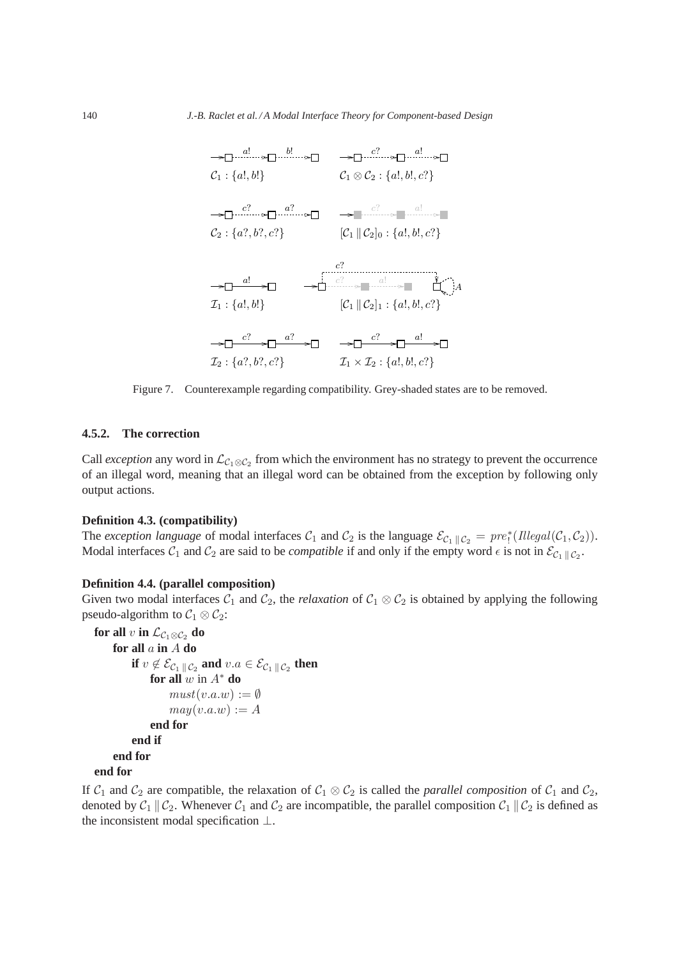

Figure 7. Counterexample regarding compatibility. Grey-shaded states are to be removed.

### **4.5.2. The correction**

Call *exception* any word in  $\mathcal{L}_{C_1 \otimes C_2}$  from which the environment has no strategy to prevent the occurrence of an illegal word, meaning that an illegal word can be obtained from the exception by following only output actions.

## **Definition 4.3. (compatibility)**

The *exception language* of modal interfaces  $C_1$  and  $C_2$  is the language  $\mathcal{E}_{C_1||C_2} = pre^*_{!}(I llegal(\mathcal{C}_1, \mathcal{C}_2)).$ Modal interfaces  $C_1$  and  $C_2$  are said to be *compatible* if and only if the empty word  $\epsilon$  is not in  $\mathcal{E}_{C_1 \parallel C_2}$ .

## **Definition 4.4. (parallel composition)**

Given two modal interfaces  $C_1$  and  $C_2$ , the *relaxation* of  $C_1 \otimes C_2$  is obtained by applying the following pseudo-algorithm to  $C_1 \otimes C_2$ :

```
for all v in \mathcal{L}_{\mathcal{C}_1 \otimes \mathcal{C}_2} do
       for all a in A do
              if v \not\in \mathcal{E}_{\mathcal{C}_1 \, \| \, \mathcal{C}_2} and v.a \in \mathcal{E}_{\mathcal{C}_1 \, \| \, \mathcal{C}_2} then
                    for all w in A^* do
                            must(v.a.w) := \emptysetmay(v.a.w) := Aend for
             end if
       end for
end for
```
If  $C_1$  and  $C_2$  are compatible, the relaxation of  $C_1 \otimes C_2$  is called the *parallel composition* of  $C_1$  and  $C_2$ , denoted by  $C_1 \parallel C_2$ . Whenever  $C_1$  and  $C_2$  are incompatible, the parallel composition  $C_1 \parallel C_2$  is defined as the inconsistent modal specification ⊥.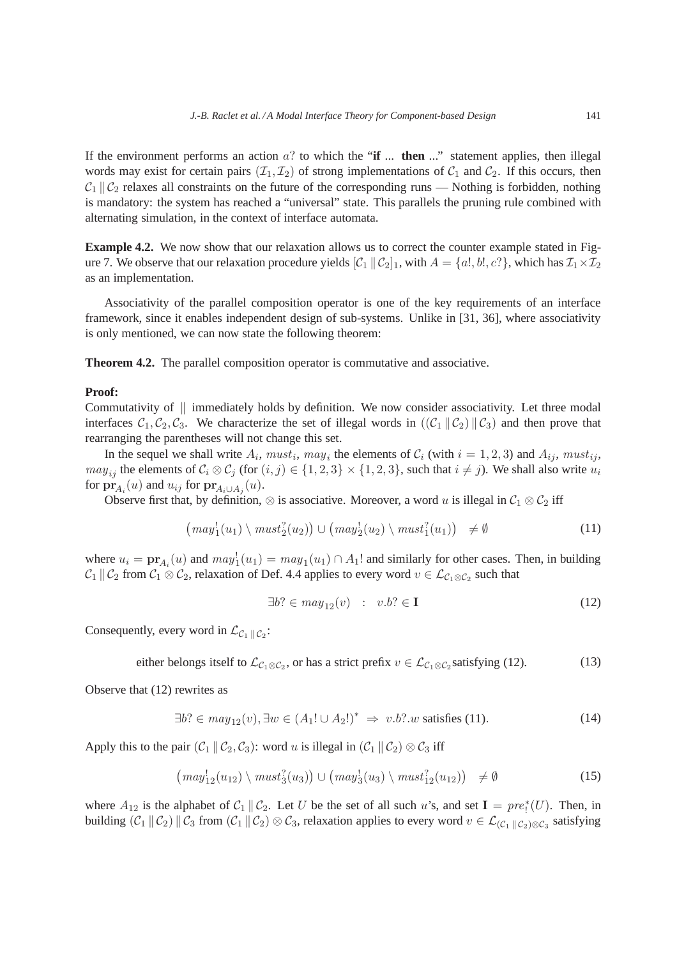If the environment performs an action a? to which the "**if** ... **then** ..." statement applies, then illegal words may exist for certain pairs  $(\mathcal{I}_1, \mathcal{I}_2)$  of strong implementations of  $\mathcal{C}_1$  and  $\mathcal{C}_2$ . If this occurs, then  $C_1 \parallel C_2$  relaxes all constraints on the future of the corresponding runs — Nothing is forbidden, nothing is mandatory: the system has reached a "universal" state. This parallels the pruning rule combined with alternating simulation, in the context of interface automata.

**Example 4.2.** We now show that our relaxation allows us to correct the counter example stated in Figure 7. We observe that our relaxation procedure yields  $[\mathcal{C}_1 || \mathcal{C}_2]_1$ , with  $A = \{a_1, b_1, c_1\}$ , which has  $\mathcal{I}_1 \times \mathcal{I}_2$ as an implementation.

Associativity of the parallel composition operator is one of the key requirements of an interface framework, since it enables independent design of sub-systems. Unlike in [31, 36], where associativity is only mentioned, we can now state the following theorem:

**Theorem 4.2.** The parallel composition operator is commutative and associative.

## **Proof:**

Commutativity of  $\parallel$  immediately holds by definition. We now consider associativity. Let three modal interfaces  $C_1, C_2, C_3$ . We characterize the set of illegal words in  $((C_1 || C_2) || C_3)$  and then prove that rearranging the parentheses will not change this set.

In the sequel we shall write  $A_i$ ,  $must_i$ ,  $may_i$  the elements of  $C_i$  (with  $i = 1, 2, 3$ ) and  $A_{ij}$ ,  $must_{ij}$ ,  $may_{ii}$  the elements of  $C_i \otimes C_j$  (for  $(i, j) \in \{1, 2, 3\} \times \{1, 2, 3\}$ , such that  $i \neq j$ ). We shall also write  $u_i$ for  $\mathbf{pr}_{A_i}(u)$  and  $u_{ij}$  for  $\mathbf{pr}_{A_i\cup A_j}(u)$ .

Observe first that, by definition,  $\otimes$  is associative. Moreover, a word u is illegal in  $C_1 \otimes C_2$  iff

$$
(may_1^1(u_1) \setminus must_2^2(u_2)) \cup (may_2^1(u_2) \setminus must_1^2(u_1)) \neq \emptyset
$$
\n
$$
(11)
$$

where  $u_i = \mathbf{pr}_{A_i}(u)$  and  $may_1^1(u_1) = may_1(u_1) \cap A_1!$  and similarly for other cases. Then, in building  $\mathcal{C}_1 \,\|\, \mathcal{C}_2$  from  $\mathcal{C}_1 \otimes \mathcal{C}_2$ , relaxation of Def. 4.4 applies to every word  $v \in \mathcal{L}_{\mathcal{C}_1 \otimes \mathcal{C}_2}$  such that

$$
\exists b? \in may_{12}(v) \quad : \quad v.b? \in \mathbf{I} \tag{12}
$$

Consequently, every word in  $\mathcal{L}_{C_1 \parallel C_2}$ :

either belongs itself to 
$$
\mathcal{L}_{C_1 \otimes C_2}
$$
, or has a strict prefix  $v \in \mathcal{L}_{C_1 \otimes C_2}$  satisfying (12). (13)

Observe that (12) rewrites as

$$
\exists b? \in may_{12}(v), \exists w \in (A_1! \cup A_2!)^* \Rightarrow v.b? . w \text{ satisfies (11)}.
$$

Apply this to the pair  $(C_1 || C_2, C_3)$ : word u is illegal in  $(C_1 || C_2) \otimes C_3$  iff

$$
\left(\text{may}_{12}^1(u_{12}) \setminus \text{must}_3^2(u_3)\right) \cup \left(\text{may}_3^1(u_3) \setminus \text{must}_{12}^2(u_{12})\right) \neq \emptyset \tag{15}
$$

where  $A_{12}$  is the alphabet of  $C_1 \parallel C_2$ . Let U be the set of all such u's, and set  $I = pre^*_{!}(U)$ . Then, in building  $(C_1 \parallel C_2) \parallel C_3$  from  $(C_1 \parallel C_2) \otimes C_3$ , relaxation applies to every word  $v \in \mathcal{L}_{(C_1 \parallel C_2) \otimes C_3}$  satisfying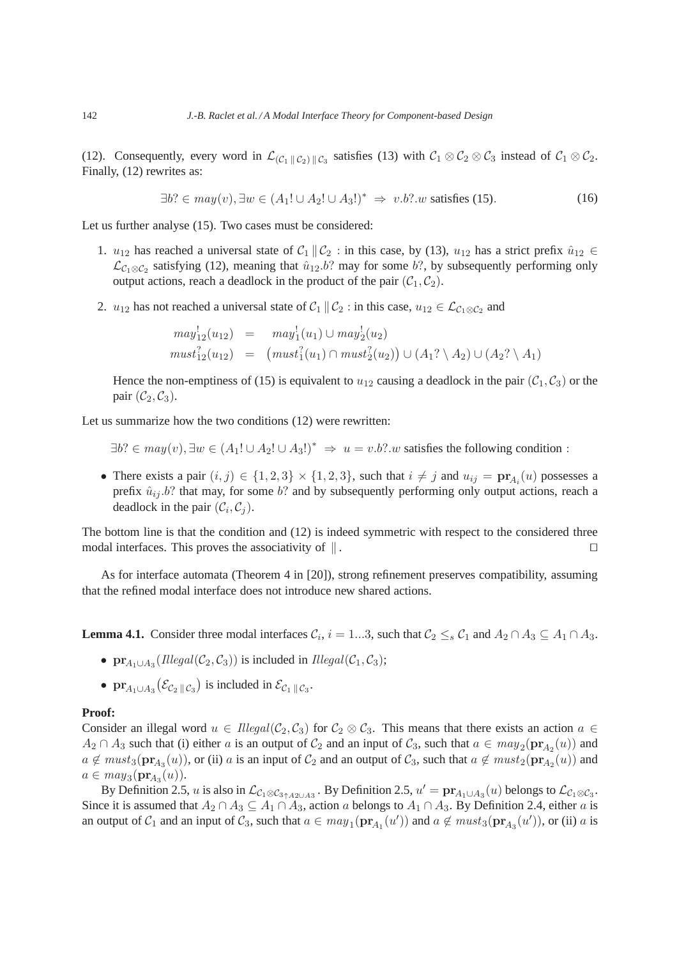(12). Consequently, every word in  $\mathcal{L}_{(\mathcal{C}_1 \| \mathcal{C}_2) \| \mathcal{C}_3}$  satisfies (13) with  $\mathcal{C}_1 \otimes \mathcal{C}_2 \otimes \mathcal{C}_3$  instead of  $\mathcal{C}_1 \otimes \mathcal{C}_2$ . Finally, (12) rewrites as:

$$
\exists b? \in may(v), \exists w \in (A_1! \cup A_2! \cup A_3!)^* \Rightarrow v.b? . w \text{ satisfies (15).}
$$
 (16)

Let us further analyse (15). Two cases must be considered:

- 1.  $u_{12}$  has reached a universal state of  $C_1 \parallel C_2$ : in this case, by (13),  $u_{12}$  has a strict prefix  $\hat{u}_{12} \in$  $\mathcal{L}_{\mathcal{C}_1 \otimes \mathcal{C}_2}$  satisfying (12), meaning that  $\hat{u}_{12}.b$ ? may for some  $b$ ?, by subsequently performing only output actions, reach a deadlock in the product of the pair  $(C_1, C_2)$ .
- 2.  $u_{12}$  has not reached a universal state of  $C_1 \parallel C_2$  : in this case,  $u_{12} \in \mathcal{L}_{C_1 \otimes C_2}$  and

$$
may_{12}^1(u_{12}) = may_1^1(u_1) \cup may_2^1(u_2)
$$
  

$$
must_{12}^2(u_{12}) = (must_1^2(u_1) \cap must_2^2(u_2)) \cup (A_1? \setminus A_2) \cup (A_2? \setminus A_1)
$$

Hence the non-emptiness of (15) is equivalent to  $u_{12}$  causing a deadlock in the pair ( $C_1$ ,  $C_3$ ) or the pair  $(\mathcal{C}_2, \mathcal{C}_3)$ .

Let us summarize how the two conditions  $(12)$  were rewritten:

- $\exists b$ ? ∈  $may(v)$ ,  $\exists w \in (A_1! \cup A_2! \cup A_3!)^* \Rightarrow u = v.b$ ?.w satisfies the following condition :
- There exists a pair  $(i, j) \in \{1, 2, 3\} \times \{1, 2, 3\}$ , such that  $i \neq j$  and  $u_{ij} = \mathbf{pr}_{A_i}(u)$  possesses a prefix  $\hat{u}_{ij}$ , *b*? that may, for some *b*? and by subsequently performing only output actions, reach a deadlock in the pair  $(C_i, C_j)$ .

The bottom line is that the condition and (12) is indeed symmetric with respect to the considered three modal interfaces. This proves the associativity of  $\parallel$ . □

As for interface automata (Theorem 4 in [20]), strong refinement preserves compatibility, assuming that the refined modal interface does not introduce new shared actions.

**Lemma 4.1.** Consider three modal interfaces  $C_i$ ,  $i = 1...3$ , such that  $C_2 \leq_s C_1$  and  $A_2 \cap A_3 \subseteq A_1 \cap A_3$ .

- $pr_{A_1 \cup A_3}(I \cup I \cup Bal(\mathcal{C}_2, \mathcal{C}_3))$  is included in  $I \cup I \cup A_3(\mathcal{C}_1, \mathcal{C}_3)$ ;
- $pr_{A_1 \cup A_3}(\mathcal{E}_{\mathcal{C}_2 \| \mathcal{C}_3})$  is included in  $\mathcal{E}_{\mathcal{C}_1 \| \mathcal{C}_3}$ .

#### **Proof:**

Consider an illegal word  $u \in Hlegal(\mathcal{C}_2, \mathcal{C}_3)$  for  $\mathcal{C}_2 \otimes \mathcal{C}_3$ . This means that there exists an action  $a \in$  $A_2 \cap A_3$  such that (i) either a is an output of  $C_2$  and an input of  $C_3$ , such that  $a \in may_2(\mathbf{pr}_{A_2}(u))$  and  $a \notin must_3(pr_{A_3}(u))$ , or (ii) a is an input of  $C_2$  and an output of  $C_3$ , such that  $a \notin must_2(pr_{A_2}(u))$  and  $a \in may_3(\mathbf{pr}_{A_3}(u)).$ 

By Definition 2.5, u is also in  $\mathcal{L}_{c_1 \otimes c_3 \uparrow A2\cup A3}$ . By Definition 2.5,  $u' = \mathbf{pr}_{A_1 \cup A_3}(u)$  belongs to  $\mathcal{L}_{c_1 \otimes c_3}$ . Since it is assumed that  $A_2 \cap A_3 \subseteq A_1 \cap A_3$ , action a belongs to  $A_1 \cap A_3$ . By Definition 2.4, either a is an output of  $C_1$  and an input of  $C_3$ , such that  $a \in may_1(\mathbf{pr}_{A_1}(u'))$  and  $a \notin must_3(\mathbf{pr}_{A_3}(u'))$ , or (ii) a is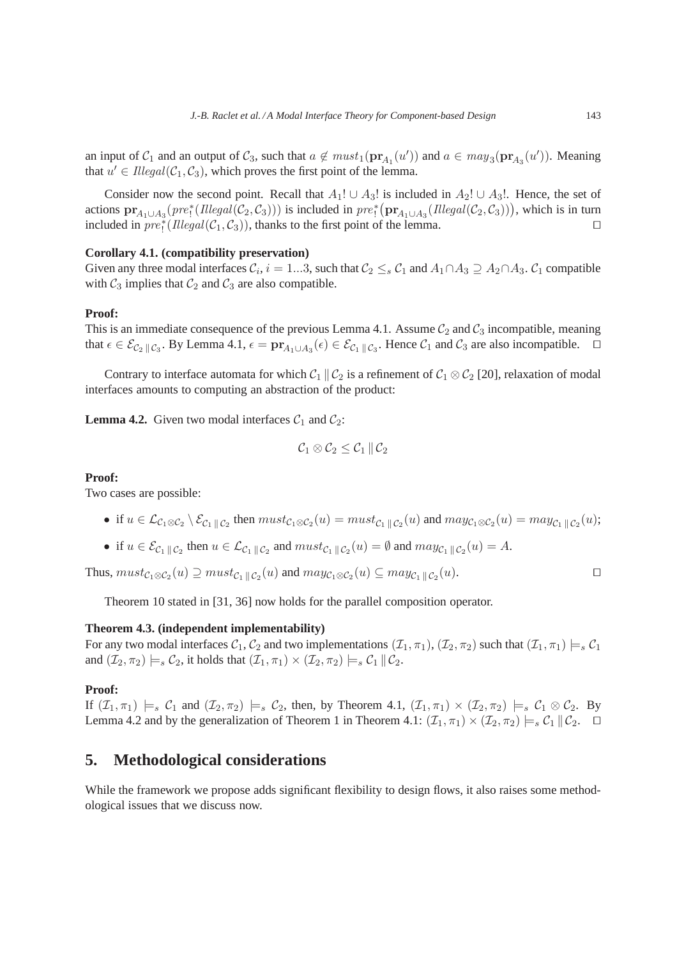an input of  $C_1$  and an output of  $C_3$ , such that  $a \notin must_1(\mathbf{pr}_{A_1}(u'))$  and  $a \in may_3(\mathbf{pr}_{A_3}(u'))$ . Meaning that  $u' \in Illegal(C_1, C_3)$ , which proves the first point of the lemma.

Consider now the second point. Recall that  $A_1! \cup A_3!$  is included in  $A_2! \cup A_3!$ . Hence, the set of actions  $pr_{A_1\cup A_3}(pre_1^*(Illegal(\mathcal{C}_2, \mathcal{C}_3)))$  is included in  $pre_1^*(pr_{A_1\cup A_3}(Illegal(\mathcal{C}_2, \mathcal{C}_3)))$ , which is in turn included in  $pre_1^*(Illegal(C_1, C_3))$ , thanks to the first point of the lemma. □

## **Corollary 4.1. (compatibility preservation)**

Given any three modal interfaces  $C_i$ ,  $i = 1...3$ , such that  $C_2 \leq_s C_1$  and  $A_1 \cap A_3 \supseteq A_2 \cap A_3$ .  $C_1$  compatible with  $C_3$  implies that  $C_2$  and  $C_3$  are also compatible.

#### **Proof:**

This is an immediate consequence of the previous Lemma 4.1. Assume  $C_2$  and  $C_3$  incompatible, meaning that  $\epsilon \in \mathcal{E}_{\mathcal{C}_2 \parallel \mathcal{C}_3}$ . By Lemma 4.1,  $\epsilon = \mathbf{pr}_{A_1 \cup A_3}(\epsilon) \in \mathcal{E}_{\mathcal{C}_1 \parallel \mathcal{C}_3}$ . Hence  $\mathcal{C}_1$  and  $\mathcal{C}_3$  are also incompatible.  $\Box$ 

Contrary to interface automata for which  $C_1 \parallel C_2$  is a refinement of  $C_1 \otimes C_2$  [20], relaxation of modal interfaces amounts to computing an abstraction of the product:

**Lemma 4.2.** Given two modal interfaces  $C_1$  and  $C_2$ :

$$
\mathcal{C}_1 \otimes \mathcal{C}_2 \leq \mathcal{C}_1 \, \| \, \mathcal{C}_2
$$

## **Proof:**

Two cases are possible:

- if  $u \in \mathcal{L}_{\mathcal{C}_1 \otimes \mathcal{C}_2} \setminus \mathcal{E}_{\mathcal{C}_1 \parallel \mathcal{C}_2}$  then  $must_{\mathcal{C}_1 \otimes \mathcal{C}_2}(u) = must_{\mathcal{C}_1 \parallel \mathcal{C}_2}(u)$  and  $may_{\mathcal{C}_1 \otimes \mathcal{C}_2}(u) = may_{\mathcal{C}_1 \parallel \mathcal{C}_2}(u);$
- if  $u \in \mathcal{E}_{\mathcal{C}_1 \parallel \mathcal{C}_2}$  then  $u \in \mathcal{L}_{\mathcal{C}_1 \parallel \mathcal{C}_2}$  and  $must_{\mathcal{C}_1 \parallel \mathcal{C}_2}(u) = \emptyset$  and  $may_{\mathcal{C}_1 \parallel \mathcal{C}_2}(u) = A$ .

Thus,  $must_{\mathcal{C}_1 \otimes \mathcal{C}_2}(u) \supseteq must_{\mathcal{C}_1 || \mathcal{C}_2}(u)$  and  $may_{\mathcal{C}_1 \otimes \mathcal{C}_2}(u) \subseteq may_{\mathcal{C}_1 || \mathcal{C}_2}(u)$ .

Theorem 10 stated in [31, 36] now holds for the parallel composition operator.

## **Theorem 4.3. (independent implementability)**

For any two modal interfaces  $C_1$ ,  $C_2$  and two implementations  $(\mathcal{I}_1, \pi_1), (\mathcal{I}_2, \pi_2)$  such that  $(\mathcal{I}_1, \pi_1) \models_s C_1$ and  $(\mathcal{I}_2, \pi_2) \models_s \mathcal{C}_2$ , it holds that  $(\mathcal{I}_1, \pi_1) \times (\mathcal{I}_2, \pi_2) \models_s \mathcal{C}_1 || \mathcal{C}_2$ .

## **Proof:**

If  $(\mathcal{I}_1, \pi_1) \models_s \mathcal{C}_1$  and  $(\mathcal{I}_2, \pi_2) \models_s \mathcal{C}_2$ , then, by Theorem 4.1,  $(\mathcal{I}_1, \pi_1) \times (\mathcal{I}_2, \pi_2) \models_s \mathcal{C}_1 \otimes \mathcal{C}_2$ . By Lemma 4.2 and by the generalization of Theorem 1 in Theorem 4.1:  $(\mathcal{I}_1, \pi_1) \times (\mathcal{I}_2, \pi_2) \models_s \mathcal{C}_1 || \mathcal{C}_2$ . □

# **5. Methodological considerations**

While the framework we propose adds significant flexibility to design flows, it also raises some methodological issues that we discuss now.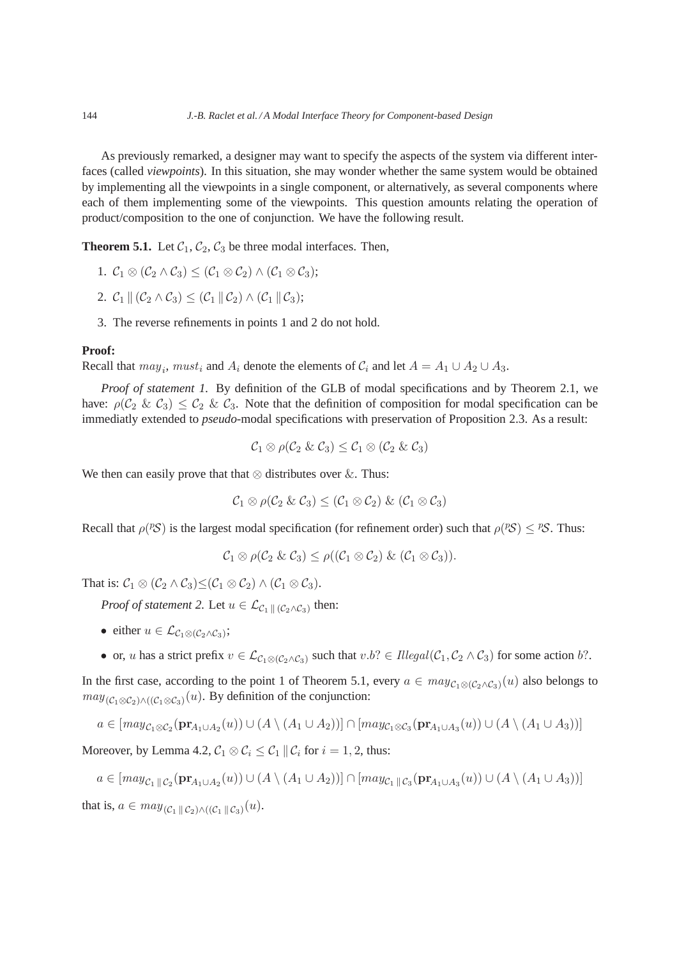As previously remarked, a designer may want to specify the aspects of the system via different interfaces (called *viewpoints*). In this situation, she may wonder whether the same system would be obtained by implementing all the viewpoints in a single component, or alternatively, as several components where each of them implementing some of the viewpoints. This question amounts relating the operation of product/composition to the one of conjunction. We have the following result.

**Theorem 5.1.** Let  $C_1$ ,  $C_2$ ,  $C_3$  be three modal interfaces. Then,

- 1.  $C_1 \otimes (C_2 \wedge C_3) \leq (C_1 \otimes C_2) \wedge (C_1 \otimes C_3);$
- 2.  $\mathcal{C}_1 \parallel (\mathcal{C}_2 \wedge \mathcal{C}_3) \leq (\mathcal{C}_1 \parallel \mathcal{C}_2) \wedge (\mathcal{C}_1 \parallel \mathcal{C}_3);$
- 3. The reverse refinements in points 1 and 2 do not hold.

#### **Proof:**

Recall that  $may_i$ ,  $must_i$  and  $A_i$  denote the elements of  $C_i$  and let  $A = A_1 \cup A_2 \cup A_3$ .

*Proof of statement 1.* By definition of the GLB of modal specifications and by Theorem 2.1, we have:  $\rho(C_2 \& C_3) \leq C_2 \& C_3$ . Note that the definition of composition for modal specification can be immediatly extended to *pseudo*-modal specifications with preservation of Proposition 2.3. As a result:

$$
\mathcal{C}_1\otimes \rho(\mathcal{C}_2 \ \& \ \mathcal{C}_3) \leq \mathcal{C}_1\otimes (\mathcal{C}_2 \ \& \ \mathcal{C}_3)
$$

We then can easily prove that that  $\otimes$  distributes over  $\&$ . Thus:

$$
\mathcal{C}_1 \otimes \rho(\mathcal{C}_2 \& \mathcal{C}_3) \leq (\mathcal{C}_1 \otimes \mathcal{C}_2) \& (\mathcal{C}_1 \otimes \mathcal{C}_3)
$$

Recall that  $\rho$ (*PS*) is the largest modal specification (for refinement order) such that  $\rho$ (*PS*)  $\leq$  *PS*. Thus:

$$
\mathcal{C}_1 \otimes \rho(\mathcal{C}_2 \& \mathcal{C}_3) \leq \rho((\mathcal{C}_1 \otimes \mathcal{C}_2) \& (\mathcal{C}_1 \otimes \mathcal{C}_3)).
$$

That is:  $C_1 \otimes (C_2 \wedge C_3) \leq (C_1 \otimes C_2) \wedge (C_1 \otimes C_3).$ 

*Proof of statement 2.* Let  $u \in \mathcal{L}_{\mathcal{C}_1 \parallel (\mathcal{C}_2 \wedge \mathcal{C}_3)}$  then:

- either  $u \in \mathcal{L}_{\mathcal{C}_1 \otimes (\mathcal{C}_2 \wedge \mathcal{C}_3)}$ ;
- or, u has a strict prefix  $v \in \mathcal{L}_{\mathcal{C}_1 \otimes (\mathcal{C}_2 \wedge \mathcal{C}_3)}$  such that  $v.b? \in Illegal(\mathcal{C}_1, \mathcal{C}_2 \wedge \mathcal{C}_3)$  for some action  $b?$ .

In the first case, according to the point 1 of Theorem 5.1, every  $a \in may_{C_1 \otimes (C_2 \wedge C_3)}(u)$  also belongs to  $may_{(\mathcal{C}_1 \otimes \mathcal{C}_2) \wedge ((\mathcal{C}_1 \otimes \mathcal{C}_3)}(u)$ . By definition of the conjunction:

$$
a \in [may_{\mathcal{C}_1 \otimes \mathcal{C}_2}(\mathbf{pr}_{A_1 \cup A_2}(u)) \cup (A \setminus (A_1 \cup A_2))] \cap [may_{\mathcal{C}_1 \otimes \mathcal{C}_3}(\mathbf{pr}_{A_1 \cup A_3}(u)) \cup (A \setminus (A_1 \cup A_3))]
$$

Moreover, by Lemma 4.2,  $C_1 \otimes C_i \leq C_1 || C_i$  for  $i = 1, 2$ , thus:

$$
a \in [may_{\mathcal{C}_1 \parallel \mathcal{C}_2}(\mathbf{pr}_{A_1 \cup A_2}(u)) \cup (A \setminus (A_1 \cup A_2))] \cap [may_{\mathcal{C}_1 \parallel \mathcal{C}_3}(\mathbf{pr}_{A_1 \cup A_3}(u)) \cup (A \setminus (A_1 \cup A_3))]
$$

that is,  $a \in may_{(\mathcal{C}_1 \parallel \mathcal{C}_2) \wedge ((\mathcal{C}_1 \parallel \mathcal{C}_3)}(u)).$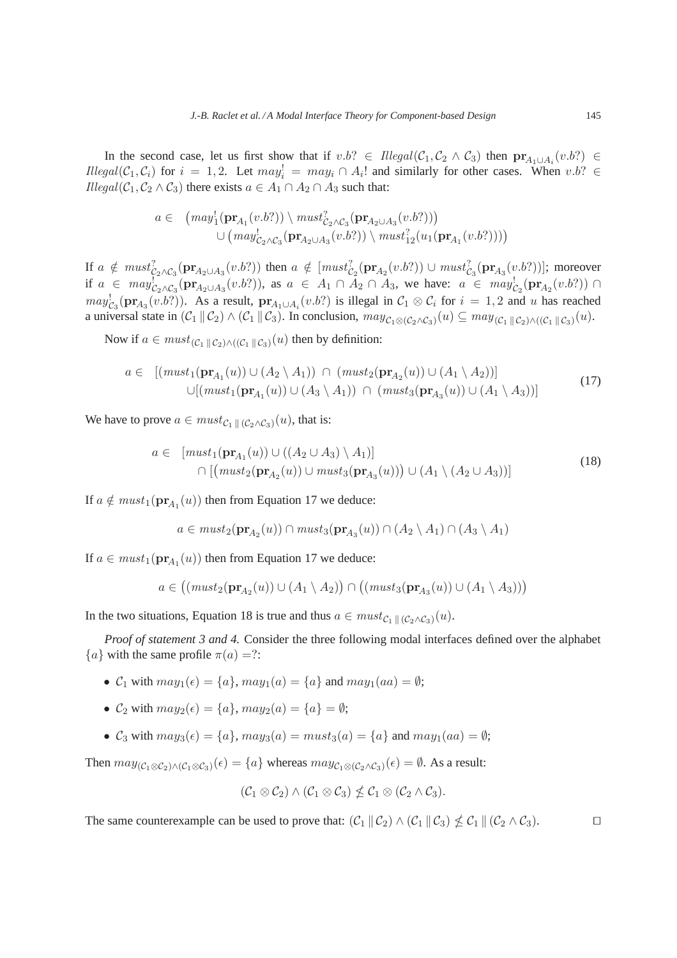In the second case, let us first show that if  $v.b? \in \text{Iilegal}(\mathcal{C}_1, \mathcal{C}_2 \wedge \mathcal{C}_3)$  then  $pr_{A_1 \cup A_i}(v.b?) \in$  $Hlegal(C_1, C_i)$  for  $i = 1, 2$ . Let  $may_i^1 = may_i \cap A_i!$  and similarly for other cases. When  $v.b? \in$  $I \leq I \leq I \leq C_1, C_2 \wedge C_3$  there exists  $a \in A_1 \cap A_2 \cap A_3$  such that:

$$
a \in \left(\text{may}_1^1(\mathbf{pr}_{A_1}(v.b?)) \setminus \text{must}_{\mathcal{C}_2 \wedge \mathcal{C}_3}^2(\mathbf{pr}_{A_2 \cup A_3}(v.b?))\right) \cup \left(\text{may}_{\mathcal{C}_2 \wedge \mathcal{C}_3}^1(\mathbf{pr}_{A_2 \cup A_3}(v.b?)) \setminus \text{must}_{12}^2(u_1(\mathbf{pr}_{A_1}(v.b?)))\right)
$$

If  $a \notin \text{must}_{\mathcal{C}_2 \wedge \mathcal{C}_3}^2(\mathbf{pr}_{A_2 \cup A_3}(v.b?))$  then  $a \notin [\text{must}_{\mathcal{C}_2}^2(\mathbf{pr}_{A_2}(v.b?)) \cup \text{must}_{\mathcal{C}_3}^2(\mathbf{pr}_{A_3}(v.b?))]$ ; moreover if  $a \in \text{may}_{c_2 \wedge c_3}^1(\text{pr}_{A_2 \cup A_3}(v.b?)),$  as  $a \in A_1 \cap A_2 \cap A_3$ , we have:  $a \in \text{may}_{c_2}^1(\text{pr}_{A_2}(v.b?)) \cap$  $may_{\mathcal{C}_3}^!(pr_{A_3}(v.b?))$ . As a result,  $pr_{A_1\cup A_i}(v.b?)$  is illegal in  $\mathcal{C}_1 \otimes \mathcal{C}_i$  for  $i = 1, 2$  and u has reached a universal state in  $(\mathcal{C}_1 \|\mathcal{C}_2) \wedge (\mathcal{C}_1 \|\mathcal{C}_3)$ . In conclusion,  $may_{\mathcal{C}_1 \otimes (\mathcal{C}_2 \wedge \mathcal{C}_3)}(u) \subseteq may_{(\mathcal{C}_1 \|\mathcal{C}_2) \wedge ((\mathcal{C}_1 \|\mathcal{C}_3)}(u)$ .

Now if  $a \in must_{(\mathcal{C}_1 \parallel \mathcal{C}_2) \wedge ((\mathcal{C}_1 \parallel \mathcal{C}_3)}(u)$  then by definition:

$$
a \in [(must_1(\mathbf{pr}_{A_1}(u)) \cup (A_2 \setminus A_1)) \cap (must_2(\mathbf{pr}_{A_2}(u)) \cup (A_1 \setminus A_2))]
$$
  
 
$$
\cup [(must_1(\mathbf{pr}_{A_1}(u)) \cup (A_3 \setminus A_1)) \cap (must_3(\mathbf{pr}_{A_3}(u)) \cup (A_1 \setminus A_3))]
$$
(17)

We have to prove  $a \in must_{\mathcal{C}_1 \parallel (\mathcal{C}_2 \wedge \mathcal{C}_3)}(u)$ , that is:

$$
a \in [must_1(\mathbf{pr}_{A_1}(u)) \cup ((A_2 \cup A_3) \setminus A_1)]
$$
  

$$
\cap [(must_2(\mathbf{pr}_{A_2}(u)) \cup must_3(\mathbf{pr}_{A_3}(u))) \cup (A_1 \setminus (A_2 \cup A_3))]
$$

$$
(18)
$$

If  $a \notin must_1(\mathbf{pr}_{A_1}(u))$  then from Equation 17 we deduce:

$$
a \in must_2(\mathbf{pr}_{A_2}(u)) \cap must_3(\mathbf{pr}_{A_3}(u)) \cap (A_2 \setminus A_1) \cap (A_3 \setminus A_1)
$$

If  $a \in must_1(\mathbf{pr}_{A_1}(u))$  then from Equation 17 we deduce:

$$
a \in ((must_2(\mathbf{pr}_{A_2}(u)) \cup (A_1 \setminus A_2)) \cap ((must_3(\mathbf{pr}_{A_3}(u)) \cup (A_1 \setminus A_3)))
$$

In the two situations, Equation 18 is true and thus  $a \in must_{C_1 \parallel (C_2 \land C_3)}(u)$ .

*Proof of statement 3 and 4.* Consider the three following modal interfaces defined over the alphabet  ${a}$  with the same profile  $\pi(a) =$ ?:

- $C_1$  with  $may_1(\epsilon) = \{a\}$ ,  $may_1(a) = \{a\}$  and  $may_1(aa) = \emptyset$ ;
- $\mathcal{C}_2$  with  $may_2(\epsilon) = \{a\}$ ,  $may_2(a) = \{a\} = \emptyset$ ;
- $C_3$  with  $may_3(\epsilon) = \{a\}$ ,  $may_3(a) = must_3(a) = \{a\}$  and  $may_1(aa) = \emptyset$ ;

Then  $may_{(\mathcal{C}_1 \otimes \mathcal{C}_2) \wedge (\mathcal{C}_1 \otimes \mathcal{C}_3)}(\epsilon) = \{a\}$  whereas  $may_{\mathcal{C}_1 \otimes (\mathcal{C}_2 \wedge \mathcal{C}_3)}(\epsilon) = \emptyset$ . As a result:

$$
(\mathcal{C}_1 \otimes \mathcal{C}_2) \wedge (\mathcal{C}_1 \otimes \mathcal{C}_3) \nleq \mathcal{C}_1 \otimes (\mathcal{C}_2 \wedge \mathcal{C}_3).
$$

The same counterexample can be used to prove that:  $(C_1 \|\mathcal{C}_2) \wedge (C_1 \|\mathcal{C}_3) \nleq C_1 \|\ (\mathcal{C}_2 \wedge \mathcal{C}_3).$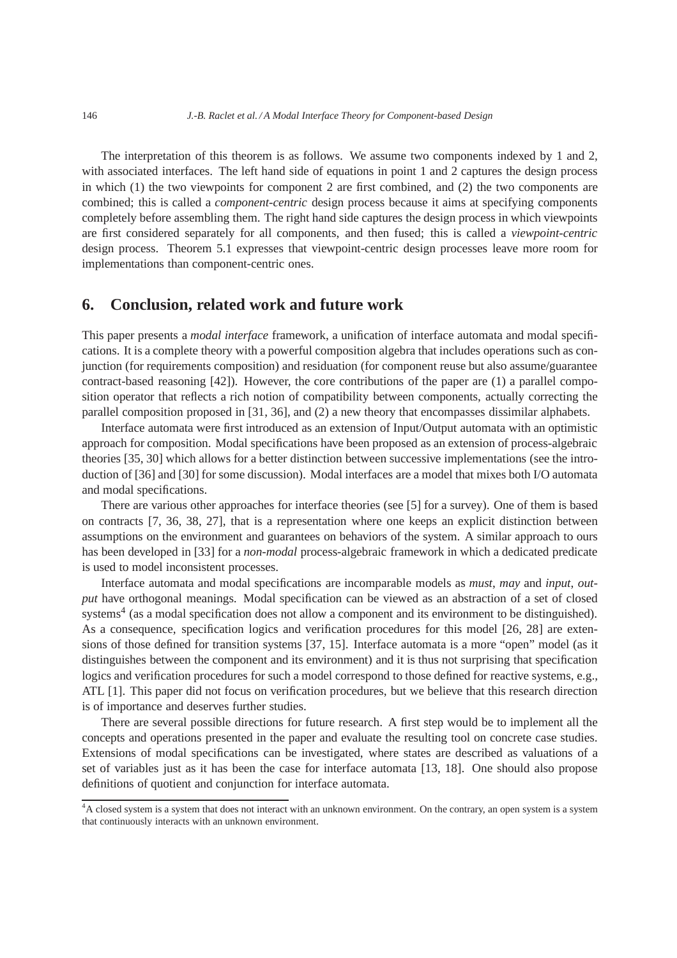The interpretation of this theorem is as follows. We assume two components indexed by 1 and 2, with associated interfaces. The left hand side of equations in point 1 and 2 captures the design process in which (1) the two viewpoints for component 2 are first combined, and (2) the two components are combined; this is called a *component-centric* design process because it aims at specifying components completely before assembling them. The right hand side captures the design process in which viewpoints are first considered separately for all components, and then fused; this is called a *viewpoint-centric* design process. Theorem 5.1 expresses that viewpoint-centric design processes leave more room for implementations than component-centric ones.

# **6. Conclusion, related work and future work**

This paper presents a *modal interface* framework, a unification of interface automata and modal specifications. It is a complete theory with a powerful composition algebra that includes operations such as conjunction (for requirements composition) and residuation (for component reuse but also assume/guarantee contract-based reasoning [42]). However, the core contributions of the paper are (1) a parallel composition operator that reflects a rich notion of compatibility between components, actually correcting the parallel composition proposed in [31, 36], and (2) a new theory that encompasses dissimilar alphabets.

Interface automata were first introduced as an extension of Input/Output automata with an optimistic approach for composition. Modal specifications have been proposed as an extension of process-algebraic theories [35, 30] which allows for a better distinction between successive implementations (see the introduction of [36] and [30] for some discussion). Modal interfaces are a model that mixes both I/O automata and modal specifications.

There are various other approaches for interface theories (see [5] for a survey). One of them is based on contracts [7, 36, 38, 27], that is a representation where one keeps an explicit distinction between assumptions on the environment and guarantees on behaviors of the system. A similar approach to ours has been developed in [33] for a *non-modal* process-algebraic framework in which a dedicated predicate is used to model inconsistent processes.

Interface automata and modal specifications are incomparable models as *must*, *may* and *input*, *output* have orthogonal meanings. Modal specification can be viewed as an abstraction of a set of closed systems<sup>4</sup> (as a modal specification does not allow a component and its environment to be distinguished). As a consequence, specification logics and verification procedures for this model [26, 28] are extensions of those defined for transition systems [37, 15]. Interface automata is a more "open" model (as it distinguishes between the component and its environment) and it is thus not surprising that specification logics and verification procedures for such a model correspond to those defined for reactive systems, e.g., ATL [1]. This paper did not focus on verification procedures, but we believe that this research direction is of importance and deserves further studies.

There are several possible directions for future research. A first step would be to implement all the concepts and operations presented in the paper and evaluate the resulting tool on concrete case studies. Extensions of modal specifications can be investigated, where states are described as valuations of a set of variables just as it has been the case for interface automata [13, 18]. One should also propose definitions of quotient and conjunction for interface automata.

<sup>&</sup>lt;sup>4</sup>A closed system is a system that does not interact with an unknown environment. On the contrary, an open system is a system that continuously interacts with an unknown environment.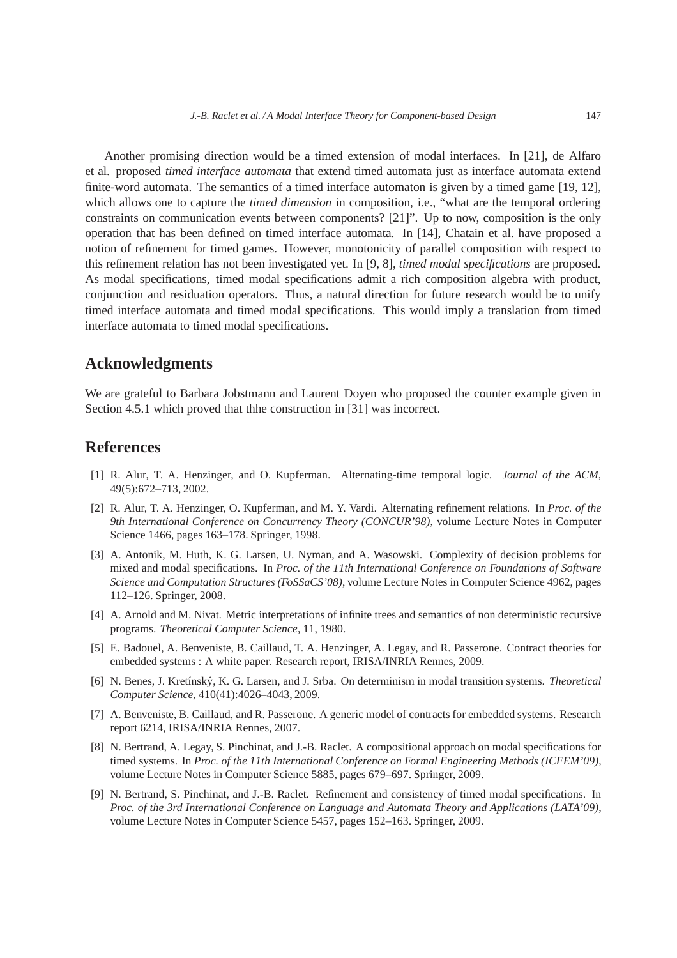Another promising direction would be a timed extension of modal interfaces. In [21], de Alfaro et al. proposed *timed interface automata* that extend timed automata just as interface automata extend finite-word automata. The semantics of a timed interface automaton is given by a timed game [19, 12], which allows one to capture the *timed dimension* in composition, i.e., "what are the temporal ordering constraints on communication events between components? [21]". Up to now, composition is the only operation that has been defined on timed interface automata. In [14], Chatain et al. have proposed a notion of refinement for timed games. However, monotonicity of parallel composition with respect to this refinement relation has not been investigated yet. In [9, 8], *timed modal specifications* are proposed. As modal specifications, timed modal specifications admit a rich composition algebra with product, conjunction and residuation operators. Thus, a natural direction for future research would be to unify timed interface automata and timed modal specifications. This would imply a translation from timed interface automata to timed modal specifications.

# **Acknowledgments**

We are grateful to Barbara Jobstmann and Laurent Doyen who proposed the counter example given in Section 4.5.1 which proved that thhe construction in [31] was incorrect.

# **References**

- [1] R. Alur, T. A. Henzinger, and O. Kupferman. Alternating-time temporal logic. *Journal of the ACM*, 49(5):672–713, 2002.
- [2] R. Alur, T. A. Henzinger, O. Kupferman, and M. Y. Vardi. Alternating refinement relations. In *Proc. of the 9th International Conference on Concurrency Theory (CONCUR'98)*, volume Lecture Notes in Computer Science 1466, pages 163–178. Springer, 1998.
- [3] A. Antonik, M. Huth, K. G. Larsen, U. Nyman, and A. Wasowski. Complexity of decision problems for mixed and modal specifications. In *Proc. of the 11th International Conference on Foundations of Software Science and Computation Structures (FoSSaCS'08)*, volume Lecture Notes in Computer Science 4962, pages 112–126. Springer, 2008.
- [4] A. Arnold and M. Nivat. Metric interpretations of infinite trees and semantics of non deterministic recursive programs. *Theoretical Computer Science*, 11, 1980.
- [5] E. Badouel, A. Benveniste, B. Caillaud, T. A. Henzinger, A. Legay, and R. Passerone. Contract theories for embedded systems : A white paper. Research report, IRISA/INRIA Rennes, 2009.
- [6] N. Benes, J. Kret´ınsk´y, K. G. Larsen, and J. Srba. On determinism in modal transition systems. *Theoretical Computer Science*, 410(41):4026–4043, 2009.
- [7] A. Benveniste, B. Caillaud, and R. Passerone. A generic model of contracts for embedded systems. Research report 6214, IRISA/INRIA Rennes, 2007.
- [8] N. Bertrand, A. Legay, S. Pinchinat, and J.-B. Raclet. A compositional approach on modal specifications for timed systems. In *Proc. of the 11th International Conference on Formal Engineering Methods (ICFEM'09)*, volume Lecture Notes in Computer Science 5885, pages 679–697. Springer, 2009.
- [9] N. Bertrand, S. Pinchinat, and J.-B. Raclet. Refinement and consistency of timed modal specifications. In *Proc. of the 3rd International Conference on Language and Automata Theory and Applications (LATA'09)*, volume Lecture Notes in Computer Science 5457, pages 152–163. Springer, 2009.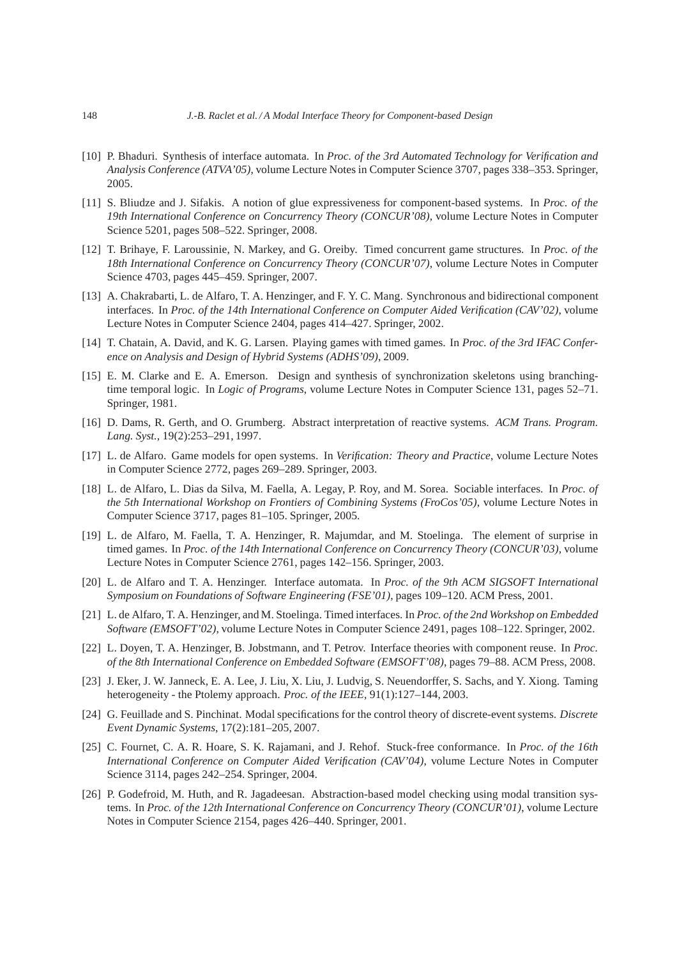- [10] P. Bhaduri. Synthesis of interface automata. In *Proc. of the 3rd Automated Technology for Verification and Analysis Conference (ATVA'05)*, volume Lecture Notes in Computer Science 3707, pages 338–353. Springer, 2005.
- [11] S. Bliudze and J. Sifakis. A notion of glue expressiveness for component-based systems. In *Proc. of the 19th International Conference on Concurrency Theory (CONCUR'08)*, volume Lecture Notes in Computer Science 5201, pages 508–522. Springer, 2008.
- [12] T. Brihaye, F. Laroussinie, N. Markey, and G. Oreiby. Timed concurrent game structures. In *Proc. of the 18th International Conference on Concurrency Theory (CONCUR'07)*, volume Lecture Notes in Computer Science 4703, pages 445–459. Springer, 2007.
- [13] A. Chakrabarti, L. de Alfaro, T. A. Henzinger, and F. Y. C. Mang. Synchronous and bidirectional component interfaces. In *Proc. of the 14th International Conference on Computer Aided Verification (CAV'02)*, volume Lecture Notes in Computer Science 2404, pages 414–427. Springer, 2002.
- [14] T. Chatain, A. David, and K. G. Larsen. Playing games with timed games. In *Proc. of the 3rd IFAC Conference on Analysis and Design of Hybrid Systems (ADHS'09)*, 2009.
- [15] E. M. Clarke and E. A. Emerson. Design and synthesis of synchronization skeletons using branchingtime temporal logic. In *Logic of Programs*, volume Lecture Notes in Computer Science 131, pages 52–71. Springer, 1981.
- [16] D. Dams, R. Gerth, and O. Grumberg. Abstract interpretation of reactive systems. *ACM Trans. Program. Lang. Syst.*, 19(2):253–291, 1997.
- [17] L. de Alfaro. Game models for open systems. In *Verification: Theory and Practice*, volume Lecture Notes in Computer Science 2772, pages 269–289. Springer, 2003.
- [18] L. de Alfaro, L. Dias da Silva, M. Faella, A. Legay, P. Roy, and M. Sorea. Sociable interfaces. In *Proc. of the 5th International Workshop on Frontiers of Combining Systems (FroCos'05)*, volume Lecture Notes in Computer Science 3717, pages 81–105. Springer, 2005.
- [19] L. de Alfaro, M. Faella, T. A. Henzinger, R. Majumdar, and M. Stoelinga. The element of surprise in timed games. In *Proc. of the 14th International Conference on Concurrency Theory (CONCUR'03)*, volume Lecture Notes in Computer Science 2761, pages 142–156. Springer, 2003.
- [20] L. de Alfaro and T. A. Henzinger. Interface automata. In *Proc. of the 9th ACM SIGSOFT International Symposium on Foundations of Software Engineering (FSE'01)*, pages 109–120. ACM Press, 2001.
- [21] L. de Alfaro, T. A. Henzinger, and M. Stoelinga. Timed interfaces. In *Proc. of the 2nd Workshop on Embedded Software (EMSOFT'02)*, volume Lecture Notes in Computer Science 2491, pages 108–122. Springer, 2002.
- [22] L. Doyen, T. A. Henzinger, B. Jobstmann, and T. Petrov. Interface theories with component reuse. In *Proc. of the 8th International Conference on Embedded Software (EMSOFT'08)*, pages 79–88. ACM Press, 2008.
- [23] J. Eker, J. W. Janneck, E. A. Lee, J. Liu, X. Liu, J. Ludvig, S. Neuendorffer, S. Sachs, and Y. Xiong. Taming heterogeneity - the Ptolemy approach. *Proc. of the IEEE*, 91(1):127–144, 2003.
- [24] G. Feuillade and S. Pinchinat. Modal specifications for the control theory of discrete-event systems. *Discrete Event Dynamic Systems*, 17(2):181–205, 2007.
- [25] C. Fournet, C. A. R. Hoare, S. K. Rajamani, and J. Rehof. Stuck-free conformance. In *Proc. of the 16th International Conference on Computer Aided Verification (CAV'04)*, volume Lecture Notes in Computer Science 3114, pages 242–254. Springer, 2004.
- [26] P. Godefroid, M. Huth, and R. Jagadeesan. Abstraction-based model checking using modal transition systems. In *Proc. of the 12th International Conference on Concurrency Theory (CONCUR'01)*, volume Lecture Notes in Computer Science 2154, pages 426–440. Springer, 2001.